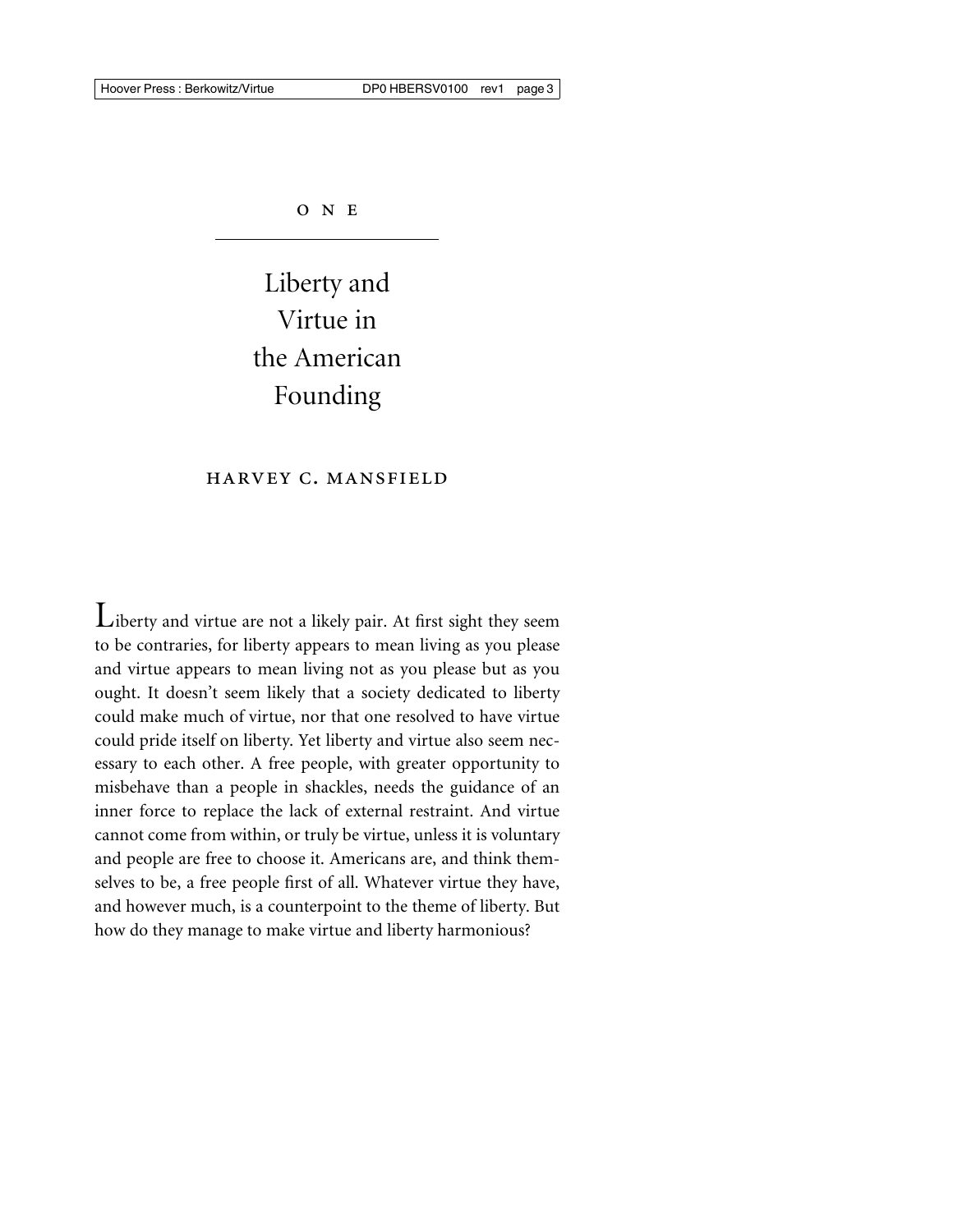ONE

# Liberty and Virtue in the American Founding

# harvey c. mansfield

Liberty and virtue are not a likely pair. At first sight they seem to be contraries, for liberty appears to mean living as you please and virtue appears to mean living not as you please but as you ought. It doesn't seem likely that a society dedicated to liberty could make much of virtue, nor that one resolved to have virtue could pride itself on liberty. Yet liberty and virtue also seem necessary to each other. A free people, with greater opportunity to misbehave than a people in shackles, needs the guidance of an inner force to replace the lack of external restraint. And virtue cannot come from within, or truly be virtue, unless it is voluntary and people are free to choose it. Americans are, and think themselves to be, a free people first of all. Whatever virtue they have, and however much, is a counterpoint to the theme of liberty. But how do they manage to make virtue and liberty harmonious?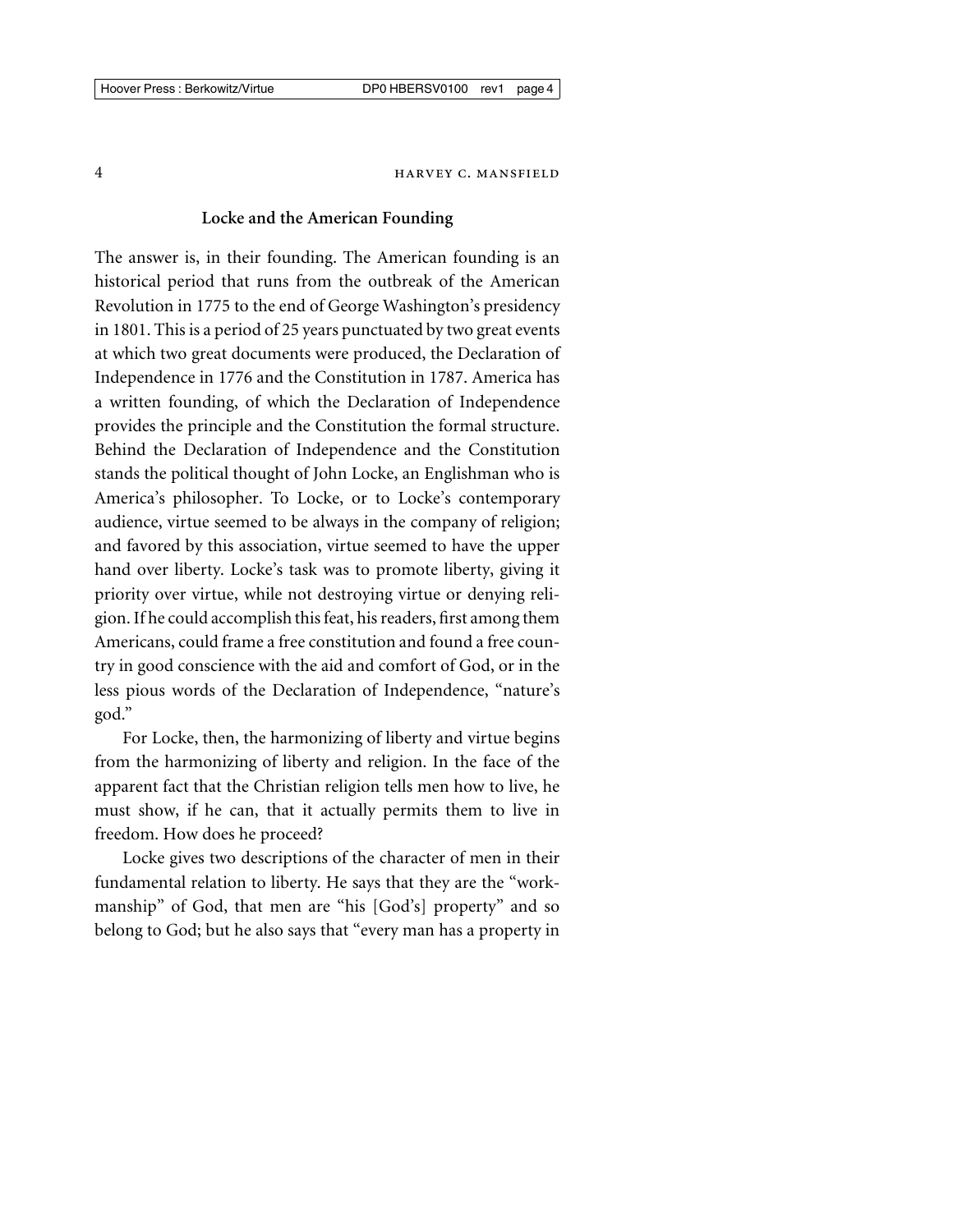#### **Locke and the American Founding**

The answer is, in their founding. The American founding is an historical period that runs from the outbreak of the American Revolution in 1775 to the end of George Washington's presidency in 1801. This is a period of 25 years punctuated by two great events at which two great documents were produced, the Declaration of Independence in 1776 and the Constitution in 1787. America has a written founding, of which the Declaration of Independence provides the principle and the Constitution the formal structure. Behind the Declaration of Independence and the Constitution stands the political thought of John Locke, an Englishman who is America's philosopher. To Locke, or to Locke's contemporary audience, virtue seemed to be always in the company of religion; and favored by this association, virtue seemed to have the upper hand over liberty. Locke's task was to promote liberty, giving it priority over virtue, while not destroying virtue or denying religion. If he could accomplish this feat, his readers, first among them Americans, could frame a free constitution and found a free country in good conscience with the aid and comfort of God, or in the less pious words of the Declaration of Independence, "nature's god."

For Locke, then, the harmonizing of liberty and virtue begins from the harmonizing of liberty and religion. In the face of the apparent fact that the Christian religion tells men how to live, he must show, if he can, that it actually permits them to live in freedom. How does he proceed?

Locke gives two descriptions of the character of men in their fundamental relation to liberty. He says that they are the "workmanship" of God, that men are "his [God's] property" and so belong to God; but he also says that "every man has a property in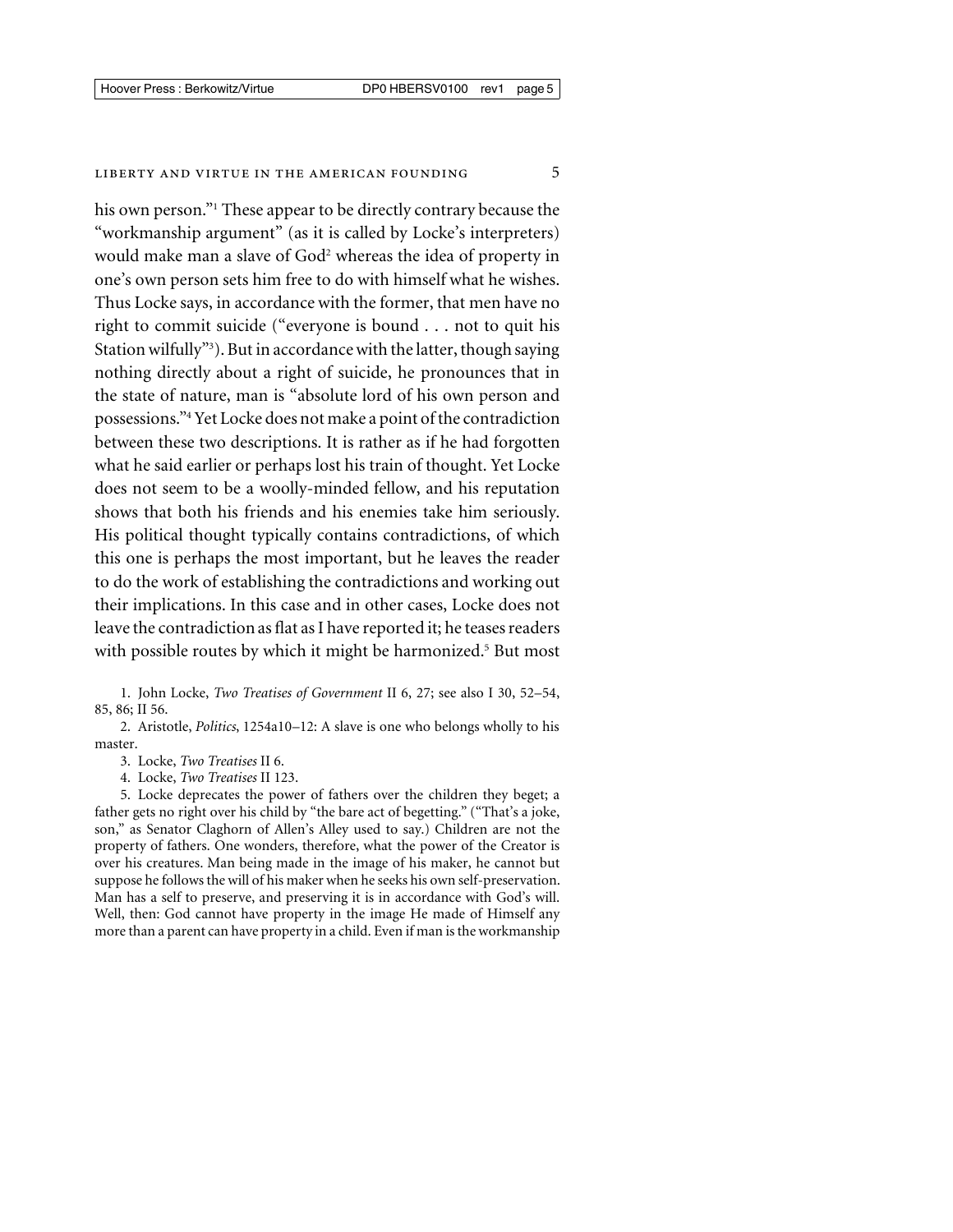#### LIBERTY AND VIRTUE IN THE AMERICAN FOUNDING 5

his own person."<sup>1</sup> These appear to be directly contrary because the "workmanship argument" (as it is called by Locke's interpreters) would make man a slave of God<sup>2</sup> whereas the idea of property in one's own person sets him free to do with himself what he wishes. Thus Locke says, in accordance with the former, that men have no right to commit suicide ("everyone is bound . . . not to quit his Station wilfully"3 ). But in accordance with the latter, though saying nothing directly about a right of suicide, he pronounces that in the state of nature, man is "absolute lord of his own person and possessions."4 Yet Locke does not make a point of the contradiction between these two descriptions. It is rather as if he had forgotten what he said earlier or perhaps lost his train of thought. Yet Locke does not seem to be a woolly-minded fellow, and his reputation shows that both his friends and his enemies take him seriously. His political thought typically contains contradictions, of which this one is perhaps the most important, but he leaves the reader to do the work of establishing the contradictions and working out their implications. In this case and in other cases, Locke does not leave the contradiction as flat as I have reported it; he teases readers with possible routes by which it might be harmonized.<sup>5</sup> But most

1. John Locke, *Two Treatises of Government* II 6, 27; see also I 30, 52–54, 85, 86; II 56.

2. Aristotle, *Politics*, 1254a10–12: A slave is one who belongs wholly to his master.

3. Locke, *Two Treatises* II 6.

4. Locke, *Two Treatises* II 123.

5. Locke deprecates the power of fathers over the children they beget; a father gets no right over his child by "the bare act of begetting." ("That's a joke, son," as Senator Claghorn of Allen's Alley used to say.) Children are not the property of fathers. One wonders, therefore, what the power of the Creator is over his creatures. Man being made in the image of his maker, he cannot but suppose he follows the will of his maker when he seeks his own self-preservation. Man has a self to preserve, and preserving it is in accordance with God's will. Well, then: God cannot have property in the image He made of Himself any more than a parent can have property in a child. Even if man is the workmanship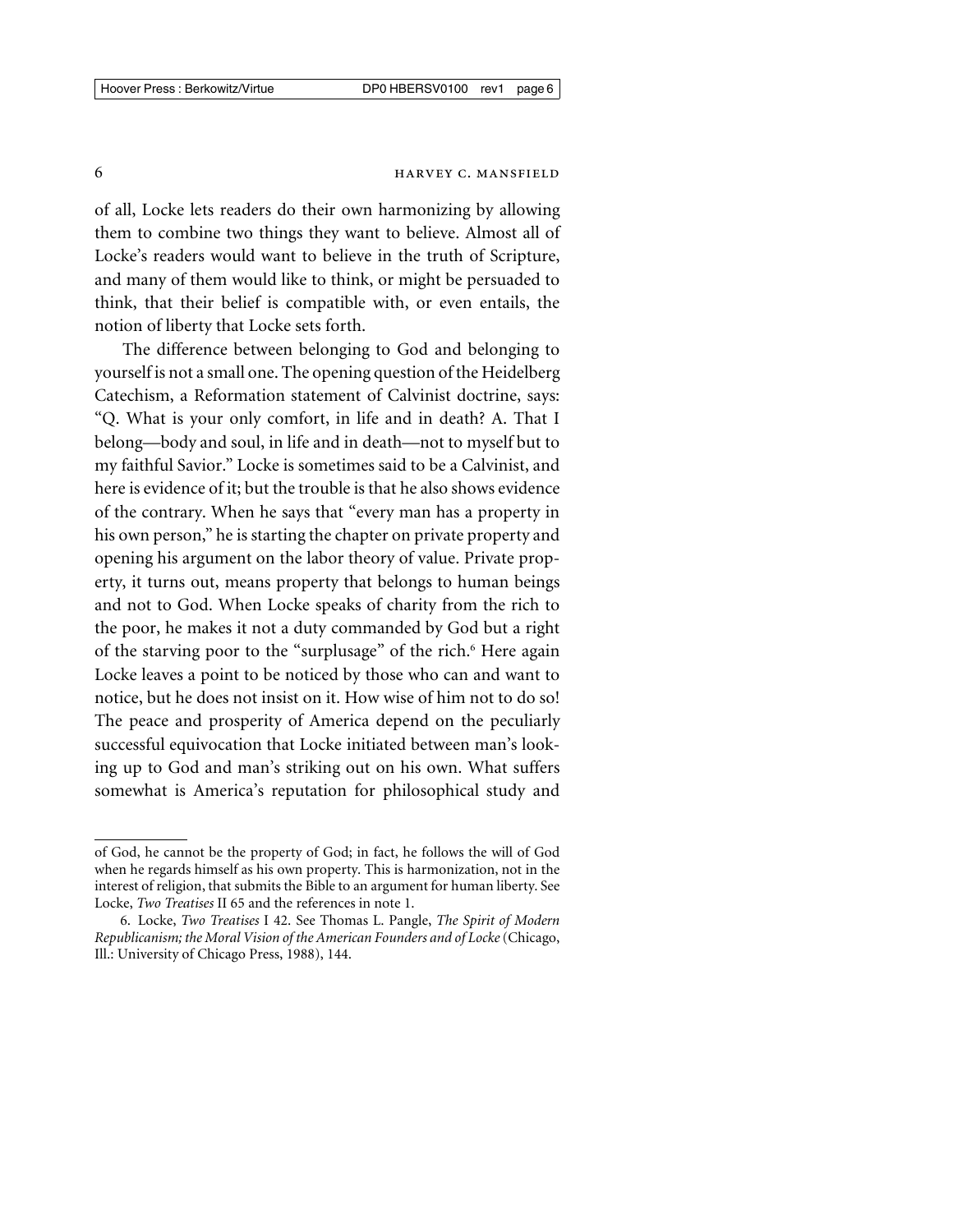of all, Locke lets readers do their own harmonizing by allowing them to combine two things they want to believe. Almost all of Locke's readers would want to believe in the truth of Scripture, and many of them would like to think, or might be persuaded to think, that their belief is compatible with, or even entails, the notion of liberty that Locke sets forth.

The difference between belonging to God and belonging to yourself is not a small one. The opening question of the Heidelberg Catechism, a Reformation statement of Calvinist doctrine, says: "Q. What is your only comfort, in life and in death? A. That I belong—body and soul, in life and in death—not to myself but to my faithful Savior." Locke is sometimes said to be a Calvinist, and here is evidence of it; but the trouble is that he also shows evidence of the contrary. When he says that "every man has a property in his own person," he is starting the chapter on private property and opening his argument on the labor theory of value. Private property, it turns out, means property that belongs to human beings and not to God. When Locke speaks of charity from the rich to the poor, he makes it not a duty commanded by God but a right of the starving poor to the "surplusage" of the rich.<sup>6</sup> Here again Locke leaves a point to be noticed by those who can and want to notice, but he does not insist on it. How wise of him not to do so! The peace and prosperity of America depend on the peculiarly successful equivocation that Locke initiated between man's looking up to God and man's striking out on his own. What suffers somewhat is America's reputation for philosophical study and

of God, he cannot be the property of God; in fact, he follows the will of God when he regards himself as his own property. This is harmonization, not in the interest of religion, that submits the Bible to an argument for human liberty. See Locke, *Two Treatises* II 65 and the references in note 1.

<sup>6.</sup> Locke, *Two Treatises* I 42. See Thomas L. Pangle, *The Spirit of Modern Republicanism; the Moral Vision of the American Founders and of Locke*(Chicago, Ill.: University of Chicago Press, 1988), 144.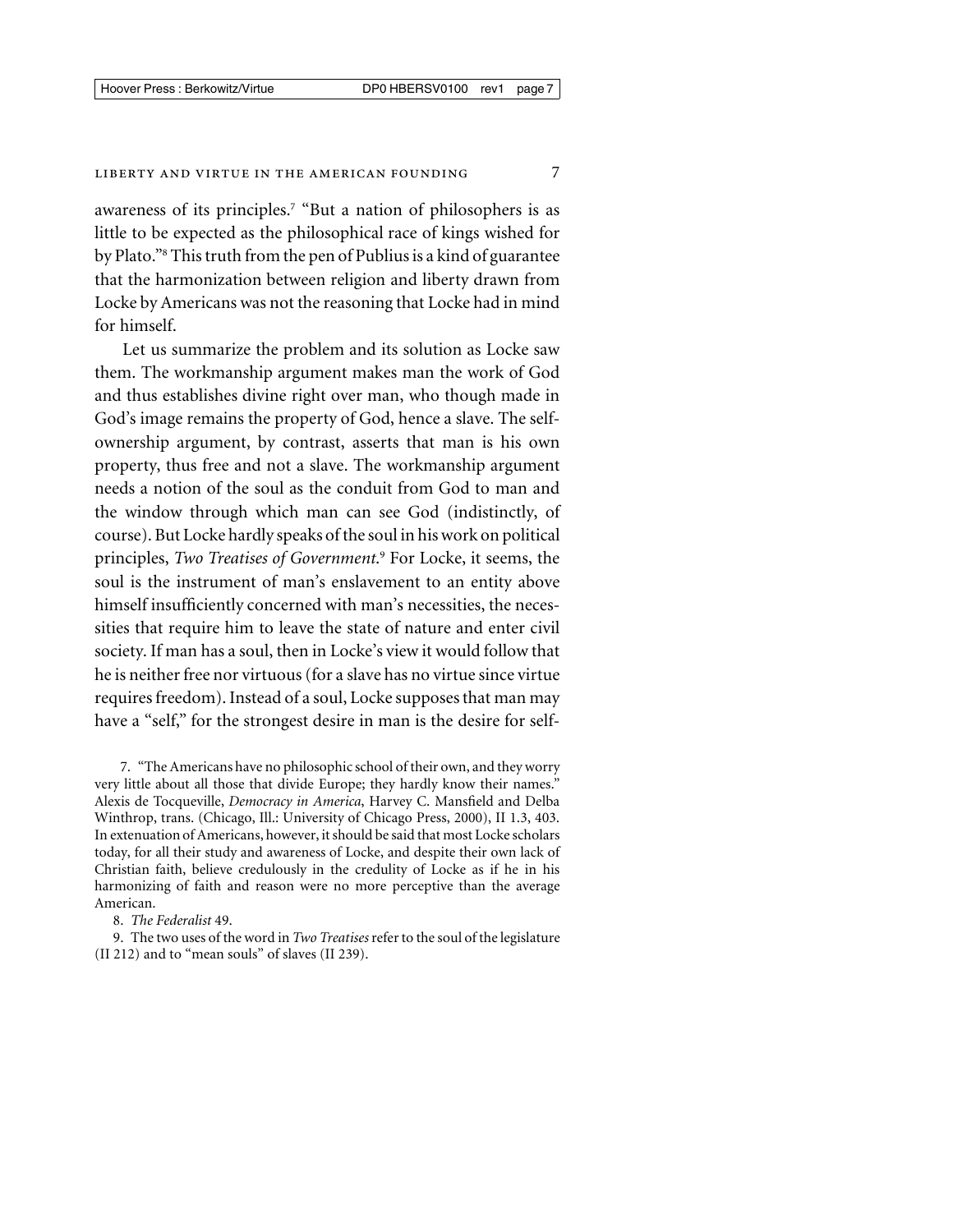#### LIBERTY AND VIRTUE IN THE AMERICAN FOUNDING 7

awareness of its principles.<sup>7</sup> "But a nation of philosophers is as little to be expected as the philosophical race of kings wished for by Plato."8 This truth from the pen of Publius is a kind of guarantee that the harmonization between religion and liberty drawn from Locke by Americans was not the reasoning that Locke had in mind for himself.

Let us summarize the problem and its solution as Locke saw them. The workmanship argument makes man the work of God and thus establishes divine right over man, who though made in God's image remains the property of God, hence a slave. The selfownership argument, by contrast, asserts that man is his own property, thus free and not a slave. The workmanship argument needs a notion of the soul as the conduit from God to man and the window through which man can see God (indistinctly, of course). But Locke hardly speaks of the soul in his work on political principles, *Two Treatises of Government*. <sup>9</sup> For Locke, it seems, the soul is the instrument of man's enslavement to an entity above himself insufficiently concerned with man's necessities, the necessities that require him to leave the state of nature and enter civil society. If man has a soul, then in Locke's view it would follow that he is neither free nor virtuous (for a slave has no virtue since virtue requires freedom). Instead of a soul, Locke supposes that man may have a "self," for the strongest desire in man is the desire for self-

7. "The Americans have no philosophic school of their own, and they worry very little about all those that divide Europe; they hardly know their names." Alexis de Tocqueville, *Democracy in America*, Harvey C. Mansfield and Delba Winthrop, trans. (Chicago, Ill.: University of Chicago Press, 2000), II 1.3, 403. In extenuation of Americans, however, it should be said that most Locke scholars today, for all their study and awareness of Locke, and despite their own lack of Christian faith, believe credulously in the credulity of Locke as if he in his harmonizing of faith and reason were no more perceptive than the average American.

8. *The Federalist* 49.

9. The two uses of the word in *Two Treatises*refer to the soul of the legislature (II 212) and to "mean souls" of slaves (II 239).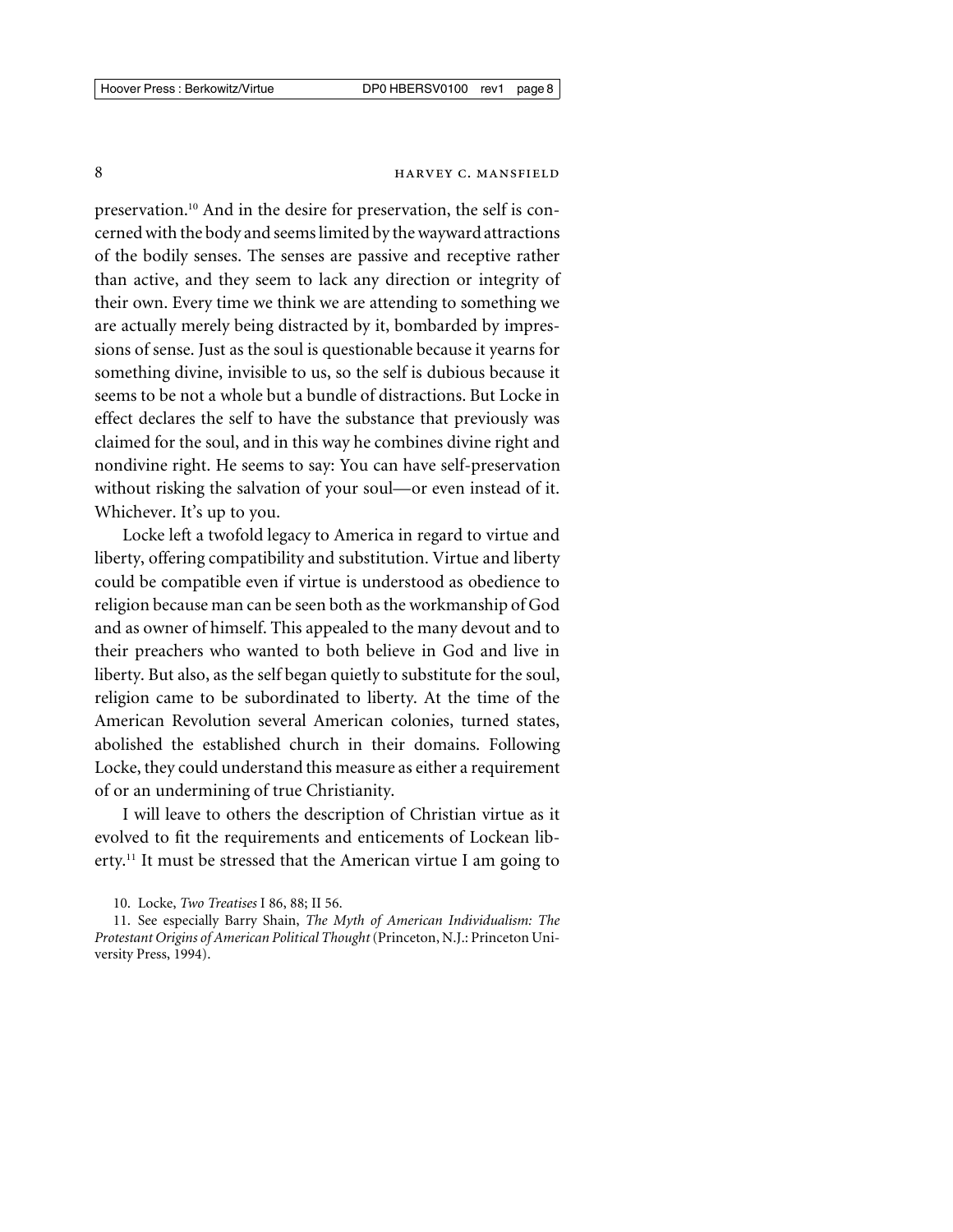# 8 **HARVEY C. MANSFIELD**

preservation.10 And in the desire for preservation, the self is concerned with the body and seems limited by the wayward attractions of the bodily senses. The senses are passive and receptive rather than active, and they seem to lack any direction or integrity of their own. Every time we think we are attending to something we are actually merely being distracted by it, bombarded by impressions of sense. Just as the soul is questionable because it yearns for something divine, invisible to us, so the self is dubious because it seems to be not a whole but a bundle of distractions. But Locke in effect declares the self to have the substance that previously was claimed for the soul, and in this way he combines divine right and nondivine right. He seems to say: You can have self-preservation without risking the salvation of your soul—or even instead of it. Whichever. It's up to you.

Locke left a twofold legacy to America in regard to virtue and liberty, offering compatibility and substitution. Virtue and liberty could be compatible even if virtue is understood as obedience to religion because man can be seen both as the workmanship of God and as owner of himself. This appealed to the many devout and to their preachers who wanted to both believe in God and live in liberty. But also, as the self began quietly to substitute for the soul, religion came to be subordinated to liberty. At the time of the American Revolution several American colonies, turned states, abolished the established church in their domains. Following Locke, they could understand this measure as either a requirement of or an undermining of true Christianity.

I will leave to others the description of Christian virtue as it evolved to fit the requirements and enticements of Lockean liberty.<sup>11</sup> It must be stressed that the American virtue I am going to

<sup>10.</sup> Locke, *Two Treatises* I 86, 88; II 56.

<sup>11.</sup> See especially Barry Shain, *The Myth of American Individualism: The Protestant Origins of American Political Thought*(Princeton, N.J.: Princeton University Press, 1994).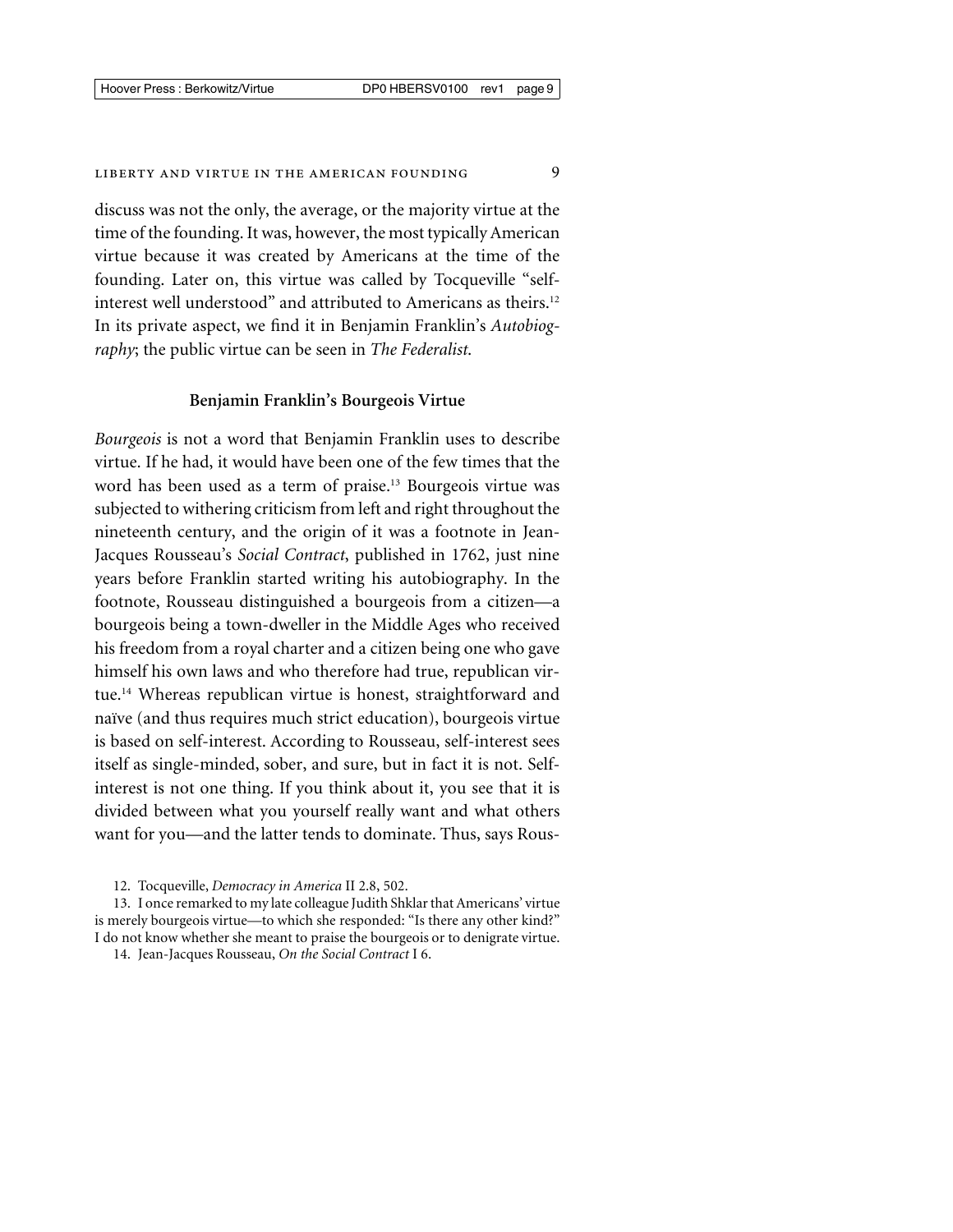#### LIBERTY AND VIRTUE IN THE AMERICAN FOUNDING 9

discuss was not the only, the average, or the majority virtue at the time of the founding. It was, however, the most typically American virtue because it was created by Americans at the time of the founding. Later on, this virtue was called by Tocqueville "selfinterest well understood" and attributed to Americans as theirs.<sup>12</sup> In its private aspect, we find it in Benjamin Franklin's *Autobiography*; the public virtue can be seen in *The Federalist*.

#### **Benjamin Franklin's Bourgeois Virtue**

*Bourgeois* is not a word that Benjamin Franklin uses to describe virtue. If he had, it would have been one of the few times that the word has been used as a term of praise.<sup>13</sup> Bourgeois virtue was subjected to withering criticism from left and right throughout the nineteenth century, and the origin of it was a footnote in Jean-Jacques Rousseau's *Social Contract*, published in 1762, just nine years before Franklin started writing his autobiography. In the footnote, Rousseau distinguished a bourgeois from a citizen—a bourgeois being a town-dweller in the Middle Ages who received his freedom from a royal charter and a citizen being one who gave himself his own laws and who therefore had true, republican virtue.14 Whereas republican virtue is honest, straightforward and naïve (and thus requires much strict education), bourgeois virtue is based on self-interest. According to Rousseau, self-interest sees itself as single-minded, sober, and sure, but in fact it is not. Selfinterest is not one thing. If you think about it, you see that it is divided between what you yourself really want and what others want for you—and the latter tends to dominate. Thus, says Rous-

<sup>12.</sup> Tocqueville, *Democracy in America* II 2.8, 502.

<sup>13.</sup> I once remarked to my late colleague Judith Shklar that Americans' virtue is merely bourgeois virtue—to which she responded: "Is there any other kind?" I do not know whether she meant to praise the bourgeois or to denigrate virtue.

<sup>14.</sup> Jean-Jacques Rousseau, *On the Social Contract* I 6.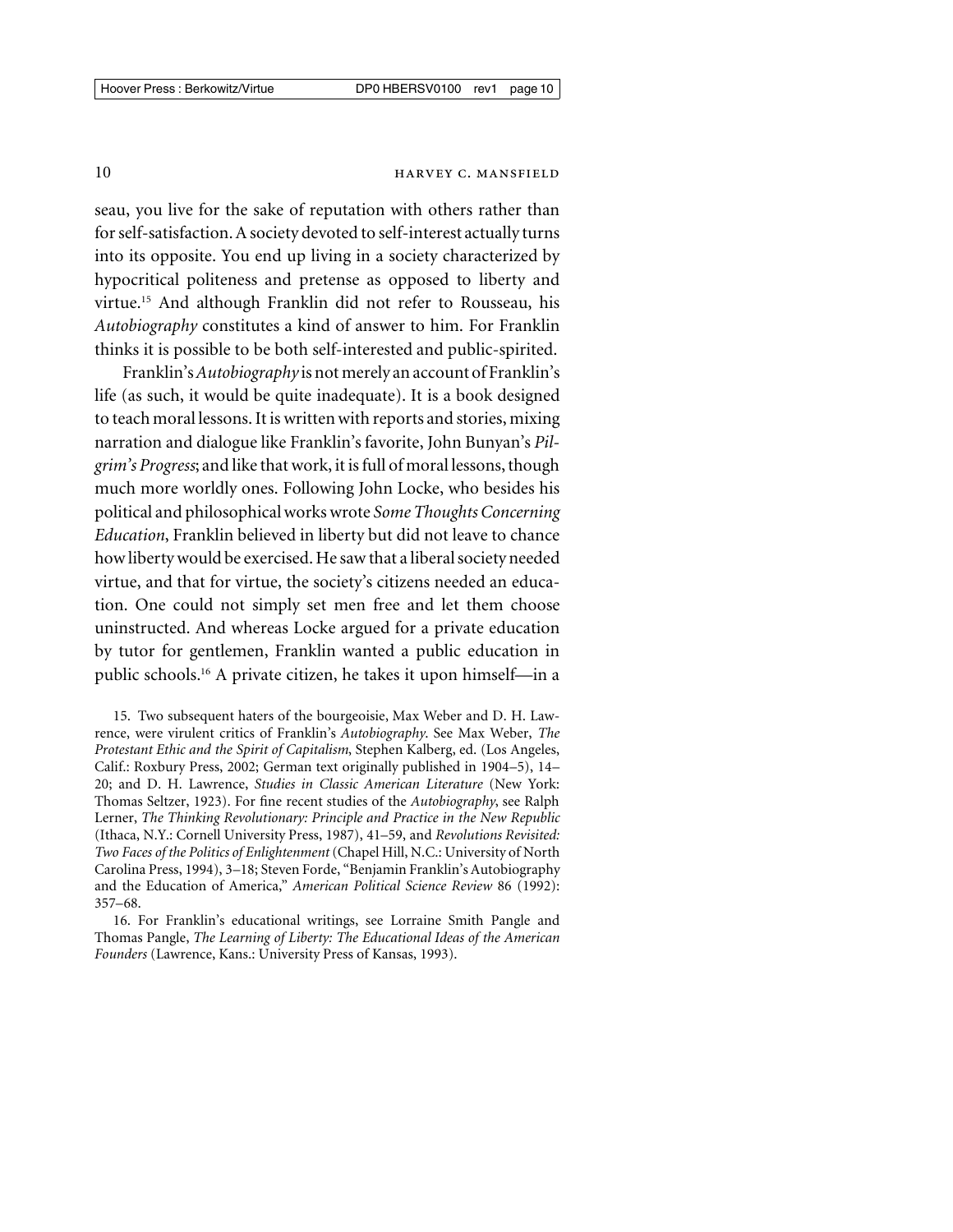# 10 **HARVEY C. MANSFIELD**

seau, you live for the sake of reputation with others rather than for self-satisfaction. A society devoted to self-interest actually turns into its opposite. You end up living in a society characterized by hypocritical politeness and pretense as opposed to liberty and virtue.15 And although Franklin did not refer to Rousseau, his *Autobiography* constitutes a kind of answer to him. For Franklin thinks it is possible to be both self-interested and public-spirited.

Franklin's*Autobiography* is not merely an account of Franklin's life (as such, it would be quite inadequate). It is a book designed to teach moral lessons. It is written with reports and stories, mixing narration and dialogue like Franklin's favorite, John Bunyan's *Pilgrim's Progress*; and like that work, it is full of moral lessons, though much more worldly ones. Following John Locke, who besides his political and philosophical works wrote *Some Thoughts Concerning Education*, Franklin believed in liberty but did not leave to chance how liberty would be exercised. He saw that a liberal society needed virtue, and that for virtue, the society's citizens needed an education. One could not simply set men free and let them choose uninstructed. And whereas Locke argued for a private education by tutor for gentlemen, Franklin wanted a public education in public schools.16 A private citizen, he takes it upon himself—in a

15. Two subsequent haters of the bourgeoisie, Max Weber and D. H. Lawrence, were virulent critics of Franklin's *Autobiography*. See Max Weber, *The Protestant Ethic and the Spirit of Capitalism*, Stephen Kalberg, ed. (Los Angeles, Calif.: Roxbury Press, 2002; German text originally published in 1904–5), 14– 20; and D. H. Lawrence, *Studies in Classic American Literature* (New York: Thomas Seltzer, 1923). For fine recent studies of the *Autobiography*, see Ralph Lerner, *The Thinking Revolutionary: Principle and Practice in the New Republic* (Ithaca, N.Y.: Cornell University Press, 1987), 41–59, and *Revolutions Revisited: Two Faces of the Politics of Enlightenment*(Chapel Hill, N.C.: University of North Carolina Press, 1994), 3–18; Steven Forde, "Benjamin Franklin's Autobiography and the Education of America," *American Political Science Review* 86 (1992): 357–68.

16. For Franklin's educational writings, see Lorraine Smith Pangle and Thomas Pangle, *The Learning of Liberty: The Educational Ideas of the American Founders* (Lawrence, Kans.: University Press of Kansas, 1993).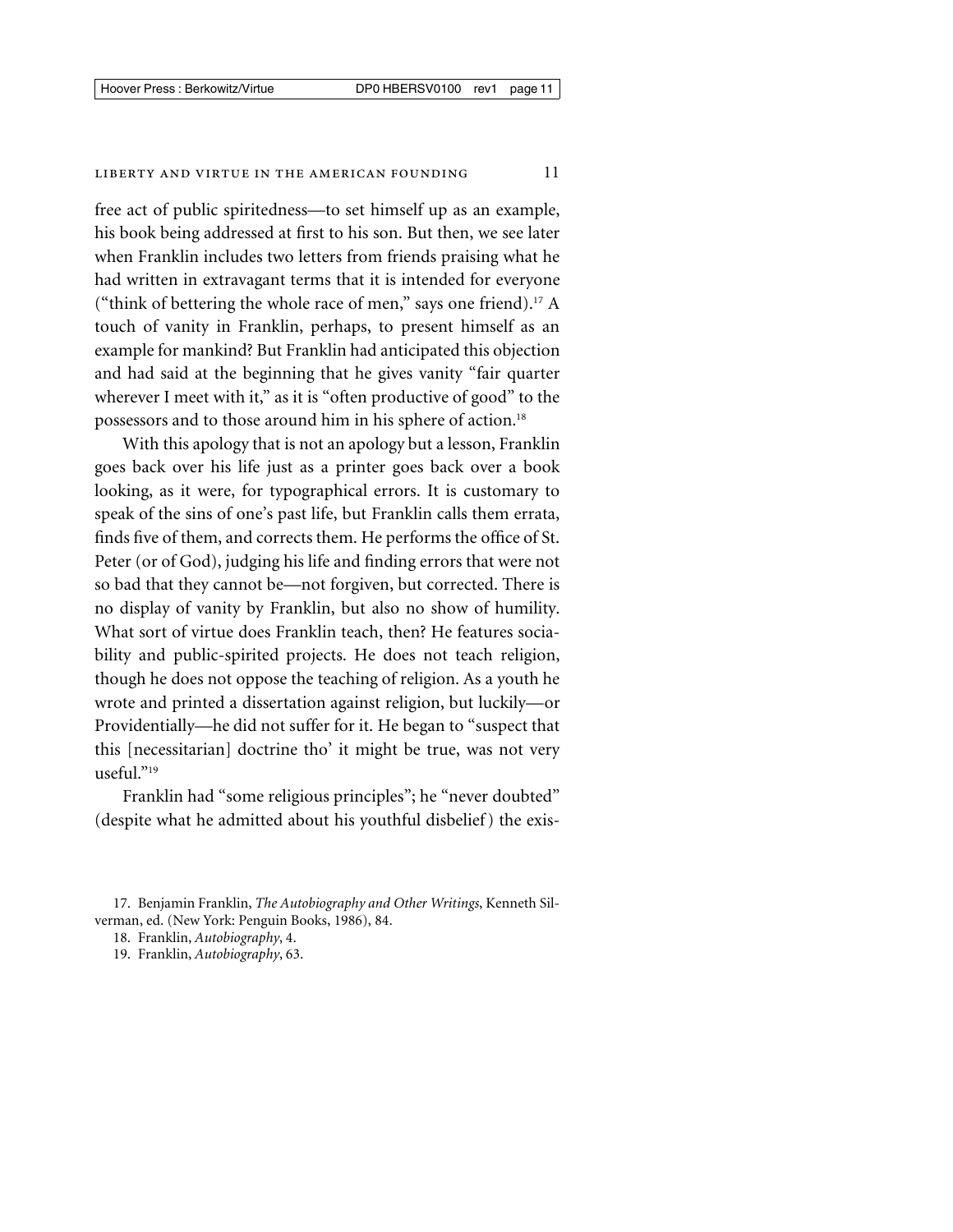free act of public spiritedness—to set himself up as an example, his book being addressed at first to his son. But then, we see later when Franklin includes two letters from friends praising what he had written in extravagant terms that it is intended for everyone ("think of bettering the whole race of men," says one friend).17 A touch of vanity in Franklin, perhaps, to present himself as an example for mankind? But Franklin had anticipated this objection and had said at the beginning that he gives vanity "fair quarter wherever I meet with it," as it is "often productive of good" to the possessors and to those around him in his sphere of action.18

With this apology that is not an apology but a lesson, Franklin goes back over his life just as a printer goes back over a book looking, as it were, for typographical errors. It is customary to speak of the sins of one's past life, but Franklin calls them errata, finds five of them, and corrects them. He performs the office of St. Peter (or of God), judging his life and finding errors that were not so bad that they cannot be—not forgiven, but corrected. There is no display of vanity by Franklin, but also no show of humility. What sort of virtue does Franklin teach, then? He features sociability and public-spirited projects. He does not teach religion, though he does not oppose the teaching of religion. As a youth he wrote and printed a dissertation against religion, but luckily—or Providentially—he did not suffer for it. He began to "suspect that this [necessitarian] doctrine tho' it might be true, was not very useful."19

Franklin had "some religious principles"; he "never doubted" (despite what he admitted about his youthful disbelief ) the exis-

17. Benjamin Franklin, *The Autobiography and Other Writings*, Kenneth Silverman, ed. (New York: Penguin Books, 1986), 84.

18. Franklin, *Autobiography*, 4.

19. Franklin, *Autobiography*, 63.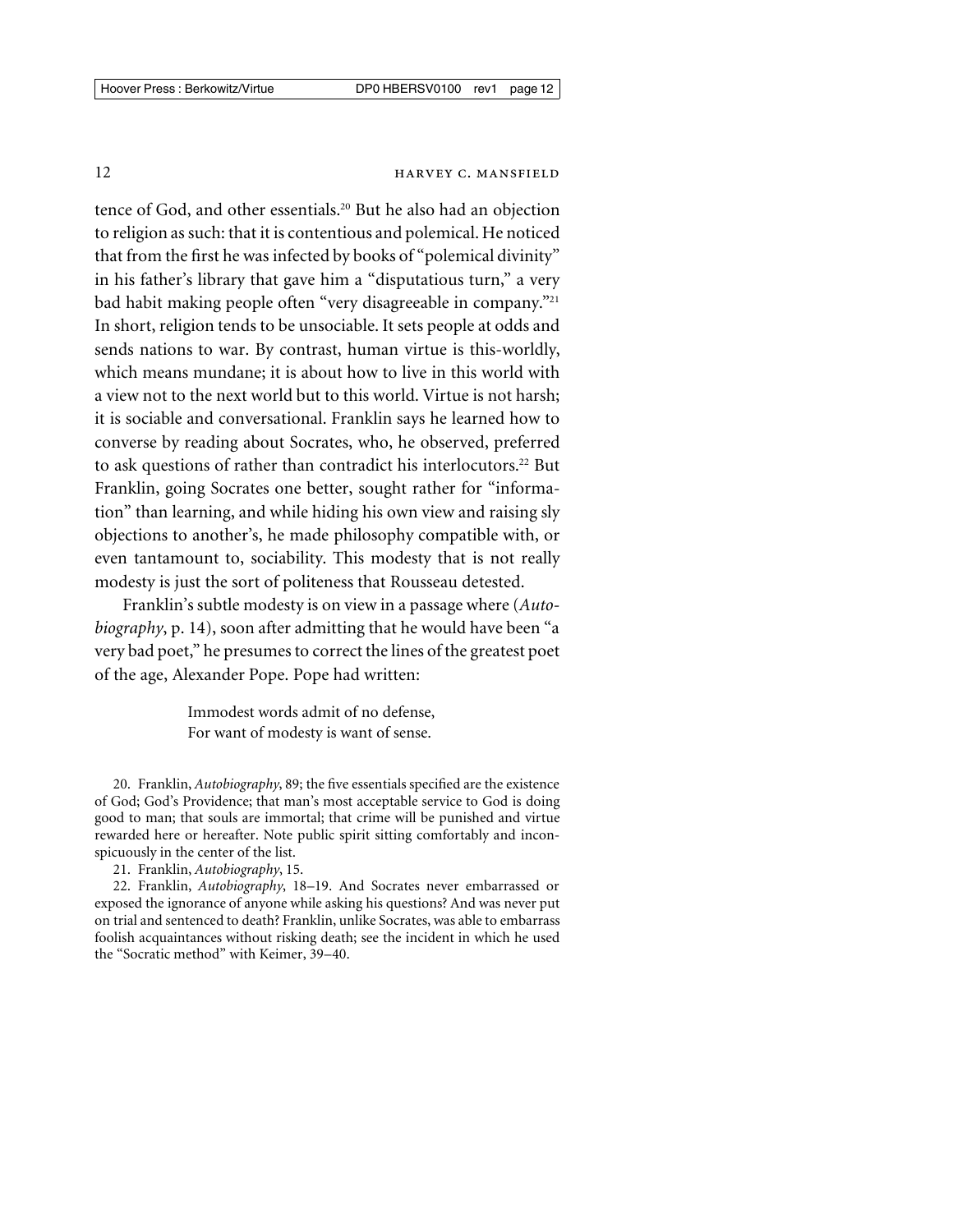# 12 **HARVEY C. MANSFIELD**

tence of God, and other essentials.20 But he also had an objection to religion as such: that it is contentious and polemical. He noticed that from the first he was infected by books of "polemical divinity" in his father's library that gave him a "disputatious turn," a very bad habit making people often "very disagreeable in company."<sup>21</sup> In short, religion tends to be unsociable. It sets people at odds and sends nations to war. By contrast, human virtue is this-worldly, which means mundane; it is about how to live in this world with a view not to the next world but to this world. Virtue is not harsh; it is sociable and conversational. Franklin says he learned how to converse by reading about Socrates, who, he observed, preferred to ask questions of rather than contradict his interlocutors.<sup>22</sup> But Franklin, going Socrates one better, sought rather for "information" than learning, and while hiding his own view and raising sly objections to another's, he made philosophy compatible with, or even tantamount to, sociability. This modesty that is not really modesty is just the sort of politeness that Rousseau detested.

Franklin's subtle modesty is on view in a passage where (*Autobiography*, p. 14), soon after admitting that he would have been "a very bad poet," he presumes to correct the lines of the greatest poet of the age, Alexander Pope. Pope had written:

> Immodest words admit of no defense, For want of modesty is want of sense.

20. Franklin, *Autobiography*, 89; the five essentials specified are the existence of God; God's Providence; that man's most acceptable service to God is doing good to man; that souls are immortal; that crime will be punished and virtue rewarded here or hereafter. Note public spirit sitting comfortably and inconspicuously in the center of the list.

21. Franklin, *Autobiography*, 15.

22. Franklin, *Autobiography*, 18–19. And Socrates never embarrassed or exposed the ignorance of anyone while asking his questions? And was never put on trial and sentenced to death? Franklin, unlike Socrates, was able to embarrass foolish acquaintances without risking death; see the incident in which he used the "Socratic method" with Keimer, 39–40.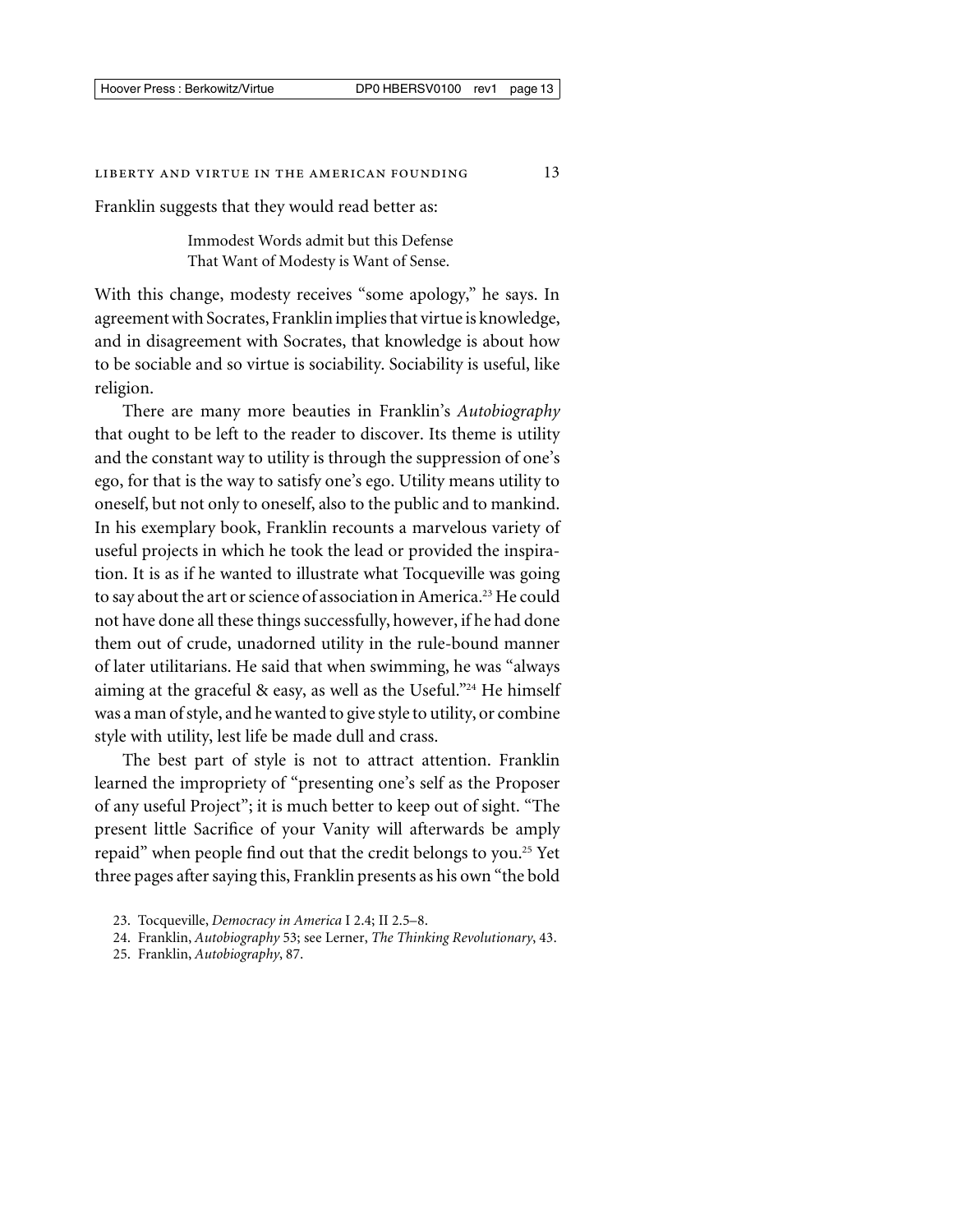# LIBERTY AND VIRTUE IN THE AMERICAN FOUNDING 13

Franklin suggests that they would read better as:

Immodest Words admit but this Defense That Want of Modesty is Want of Sense.

With this change, modesty receives "some apology," he says. In agreement with Socrates, Franklin implies that virtue is knowledge, and in disagreement with Socrates, that knowledge is about how to be sociable and so virtue is sociability. Sociability is useful, like religion.

There are many more beauties in Franklin's *Autobiography* that ought to be left to the reader to discover. Its theme is utility and the constant way to utility is through the suppression of one's ego, for that is the way to satisfy one's ego. Utility means utility to oneself, but not only to oneself, also to the public and to mankind. In his exemplary book, Franklin recounts a marvelous variety of useful projects in which he took the lead or provided the inspiration. It is as if he wanted to illustrate what Tocqueville was going to say about the art or science of association in America.<sup>23</sup> He could not have done all these things successfully, however, if he had done them out of crude, unadorned utility in the rule-bound manner of later utilitarians. He said that when swimming, he was "always aiming at the graceful & easy, as well as the Useful."24 He himself was a man of style, and he wanted to give style to utility, or combine style with utility, lest life be made dull and crass.

The best part of style is not to attract attention. Franklin learned the impropriety of "presenting one's self as the Proposer of any useful Project"; it is much better to keep out of sight. "The present little Sacrifice of your Vanity will afterwards be amply repaid" when people find out that the credit belongs to you.<sup>25</sup> Yet three pages after saying this, Franklin presents as his own "the bold

- 24. Franklin, *Autobiography* 53; see Lerner, *The Thinking Revolutionary*, 43.
- 25. Franklin, *Autobiography*, 87.

<sup>23.</sup> Tocqueville, *Democracy in America* I 2.4; II 2.5–8.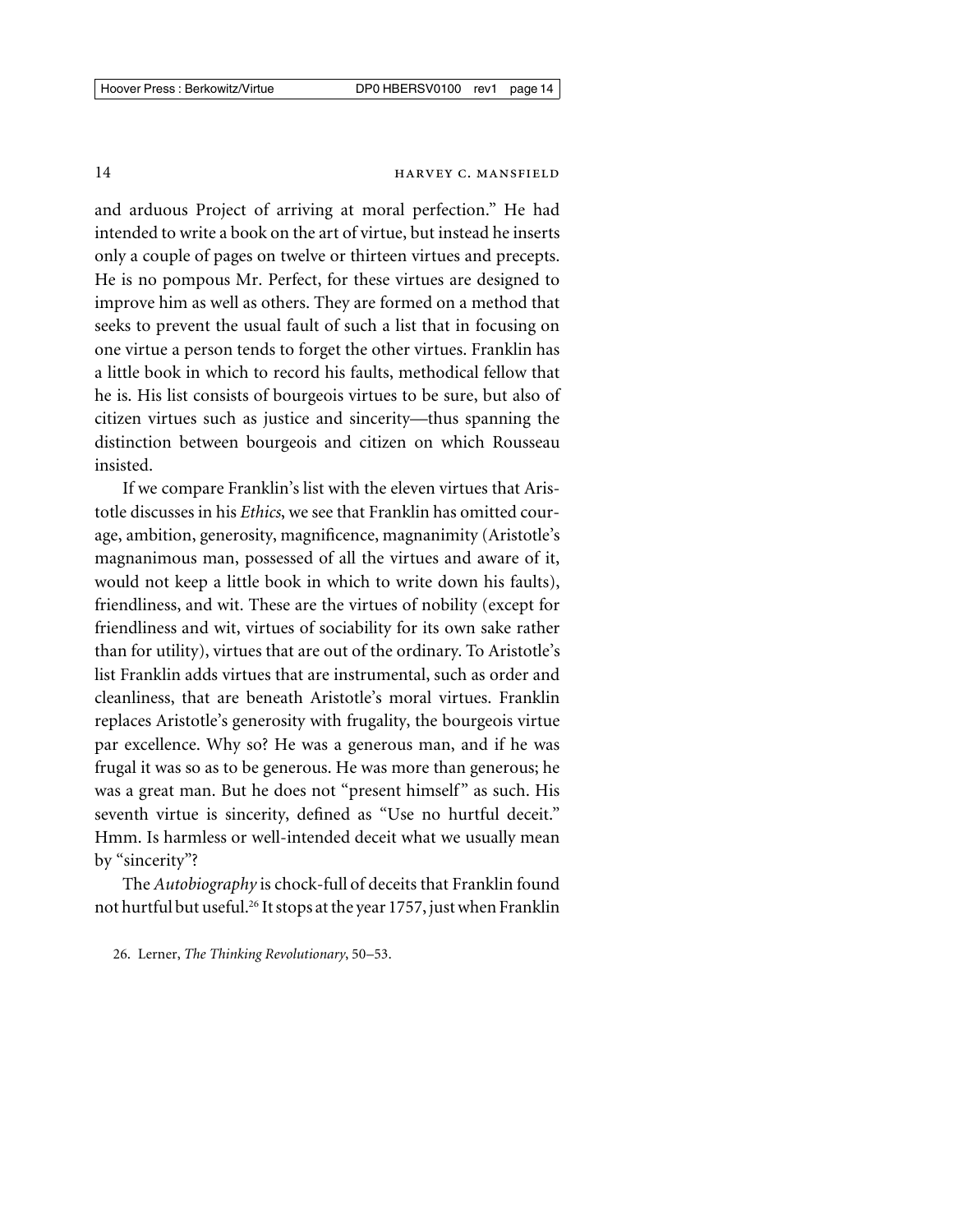and arduous Project of arriving at moral perfection." He had intended to write a book on the art of virtue, but instead he inserts only a couple of pages on twelve or thirteen virtues and precepts. He is no pompous Mr. Perfect, for these virtues are designed to improve him as well as others. They are formed on a method that seeks to prevent the usual fault of such a list that in focusing on one virtue a person tends to forget the other virtues. Franklin has a little book in which to record his faults, methodical fellow that he is. His list consists of bourgeois virtues to be sure, but also of citizen virtues such as justice and sincerity—thus spanning the distinction between bourgeois and citizen on which Rousseau insisted.

If we compare Franklin's list with the eleven virtues that Aristotle discusses in his *Ethics*, we see that Franklin has omitted courage, ambition, generosity, magnificence, magnanimity (Aristotle's magnanimous man, possessed of all the virtues and aware of it, would not keep a little book in which to write down his faults), friendliness, and wit. These are the virtues of nobility (except for friendliness and wit, virtues of sociability for its own sake rather than for utility), virtues that are out of the ordinary. To Aristotle's list Franklin adds virtues that are instrumental, such as order and cleanliness, that are beneath Aristotle's moral virtues. Franklin replaces Aristotle's generosity with frugality, the bourgeois virtue par excellence. Why so? He was a generous man, and if he was frugal it was so as to be generous. He was more than generous; he was a great man. But he does not "present himself" as such. His seventh virtue is sincerity, defined as "Use no hurtful deceit." Hmm. Is harmless or well-intended deceit what we usually mean by "sincerity"?

The *Autobiography* is chock-full of deceits that Franklin found not hurtful but useful.26 It stops at the year 1757, just when Franklin

<sup>26.</sup> Lerner, *The Thinking Revolutionary*, 50–53.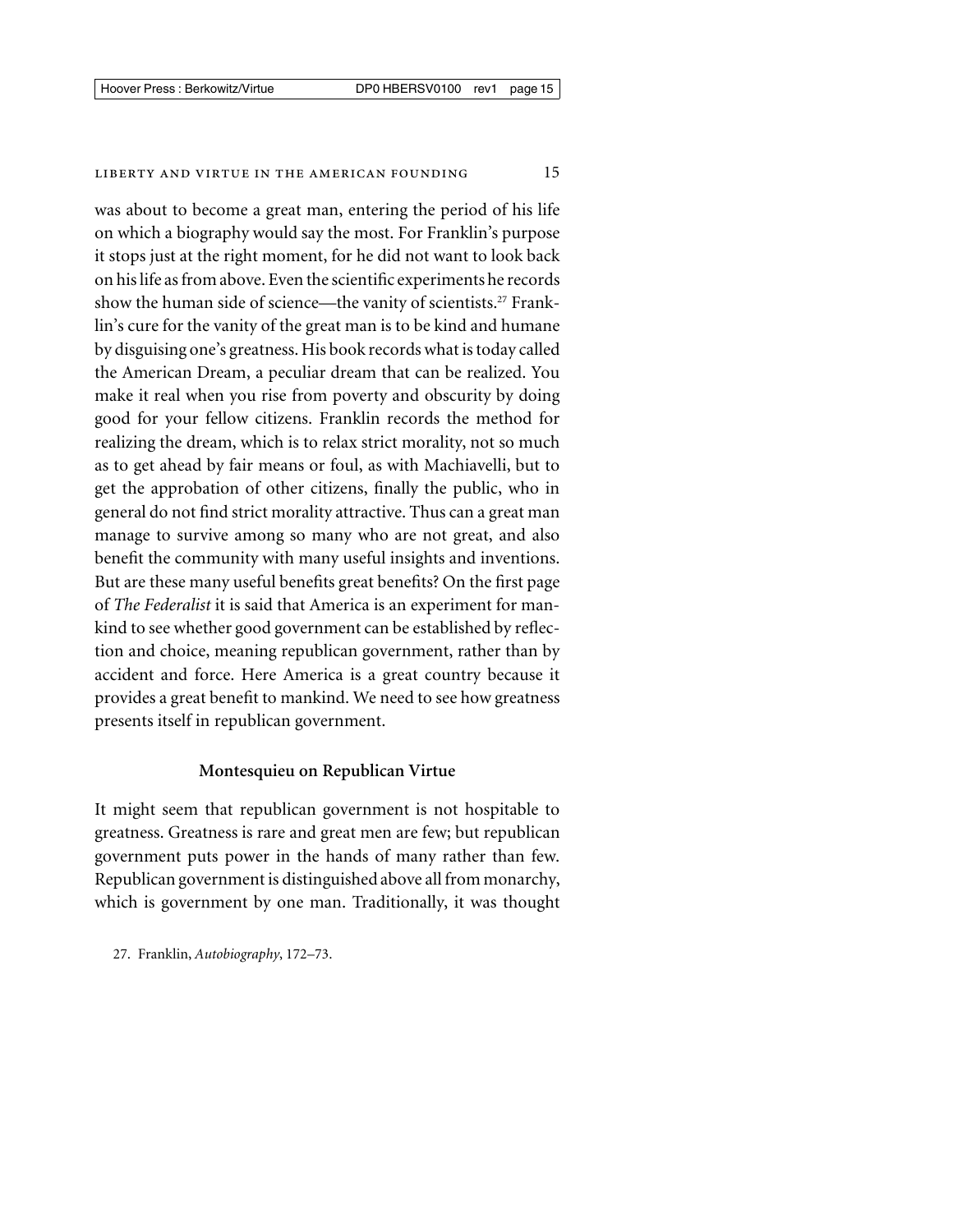was about to become a great man, entering the period of his life on which a biography would say the most. For Franklin's purpose it stops just at the right moment, for he did not want to look back on his life as from above. Even the scientific experiments he records show the human side of science—the vanity of scientists.<sup>27</sup> Franklin's cure for the vanity of the great man is to be kind and humane by disguising one's greatness. His book records what is today called the American Dream, a peculiar dream that can be realized. You make it real when you rise from poverty and obscurity by doing good for your fellow citizens. Franklin records the method for realizing the dream, which is to relax strict morality, not so much as to get ahead by fair means or foul, as with Machiavelli, but to get the approbation of other citizens, finally the public, who in general do not find strict morality attractive. Thus can a great man manage to survive among so many who are not great, and also benefit the community with many useful insights and inventions. But are these many useful benefits great benefits? On the first page of *The Federalist* it is said that America is an experiment for mankind to see whether good government can be established by reflection and choice, meaning republican government, rather than by accident and force. Here America is a great country because it provides a great benefit to mankind. We need to see how greatness presents itself in republican government.

# **Montesquieu on Republican Virtue**

It might seem that republican government is not hospitable to greatness. Greatness is rare and great men are few; but republican government puts power in the hands of many rather than few. Republican government is distinguished above all from monarchy, which is government by one man. Traditionally, it was thought

27. Franklin, *Autobiography*, 172–73.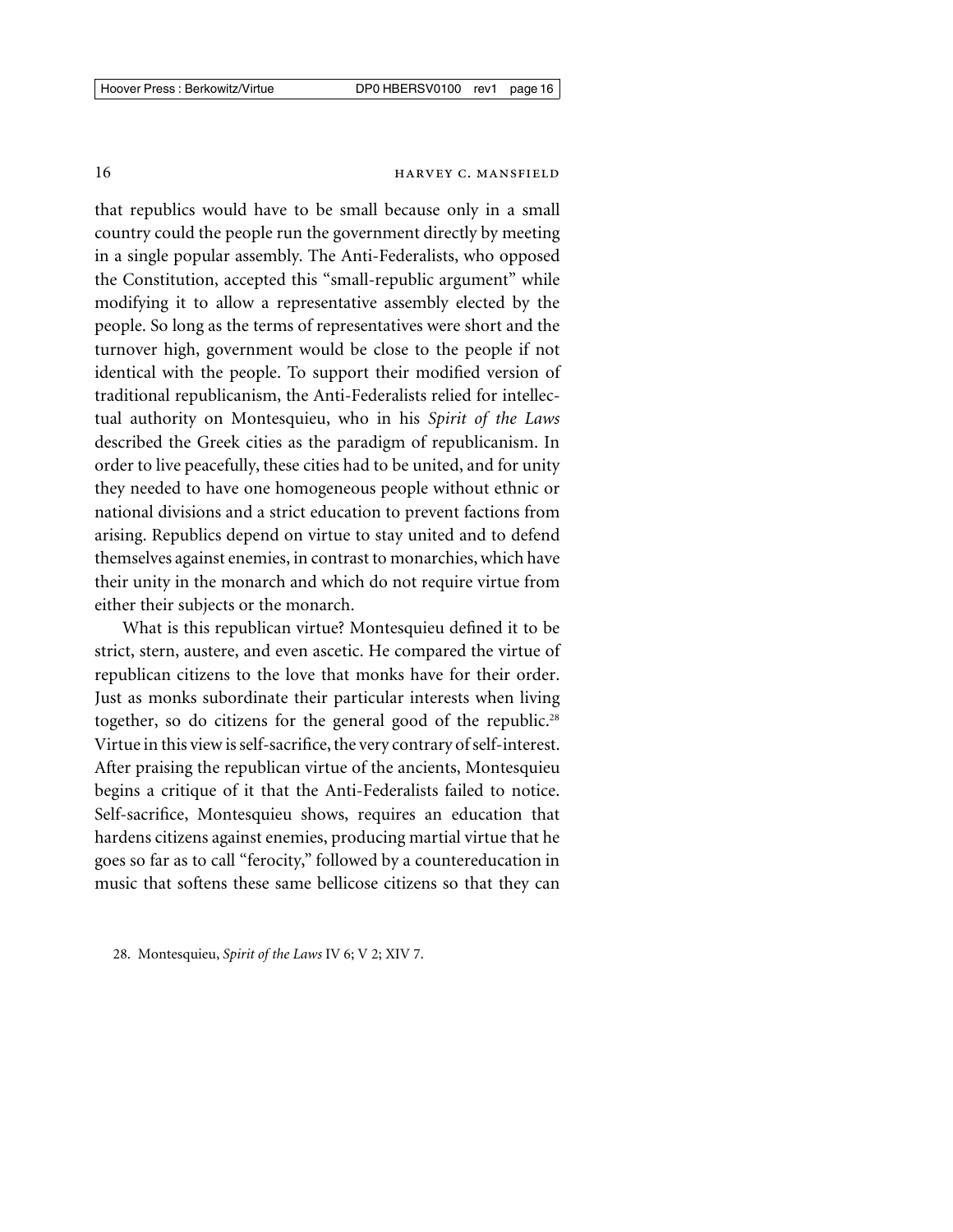that republics would have to be small because only in a small country could the people run the government directly by meeting in a single popular assembly. The Anti-Federalists, who opposed the Constitution, accepted this "small-republic argument" while modifying it to allow a representative assembly elected by the people. So long as the terms of representatives were short and the turnover high, government would be close to the people if not identical with the people. To support their modified version of traditional republicanism, the Anti-Federalists relied for intellectual authority on Montesquieu, who in his *Spirit of the Laws* described the Greek cities as the paradigm of republicanism. In order to live peacefully, these cities had to be united, and for unity they needed to have one homogeneous people without ethnic or national divisions and a strict education to prevent factions from arising. Republics depend on virtue to stay united and to defend themselves against enemies, in contrast to monarchies, which have their unity in the monarch and which do not require virtue from either their subjects or the monarch.

What is this republican virtue? Montesquieu defined it to be strict, stern, austere, and even ascetic. He compared the virtue of republican citizens to the love that monks have for their order. Just as monks subordinate their particular interests when living together, so do citizens for the general good of the republic.<sup>28</sup> Virtue in this view is self-sacrifice, the very contrary of self-interest. After praising the republican virtue of the ancients, Montesquieu begins a critique of it that the Anti-Federalists failed to notice. Self-sacrifice, Montesquieu shows, requires an education that hardens citizens against enemies, producing martial virtue that he goes so far as to call "ferocity," followed by a countereducation in music that softens these same bellicose citizens so that they can

28. Montesquieu, *Spirit of the Laws* IV 6; V 2; XIV 7.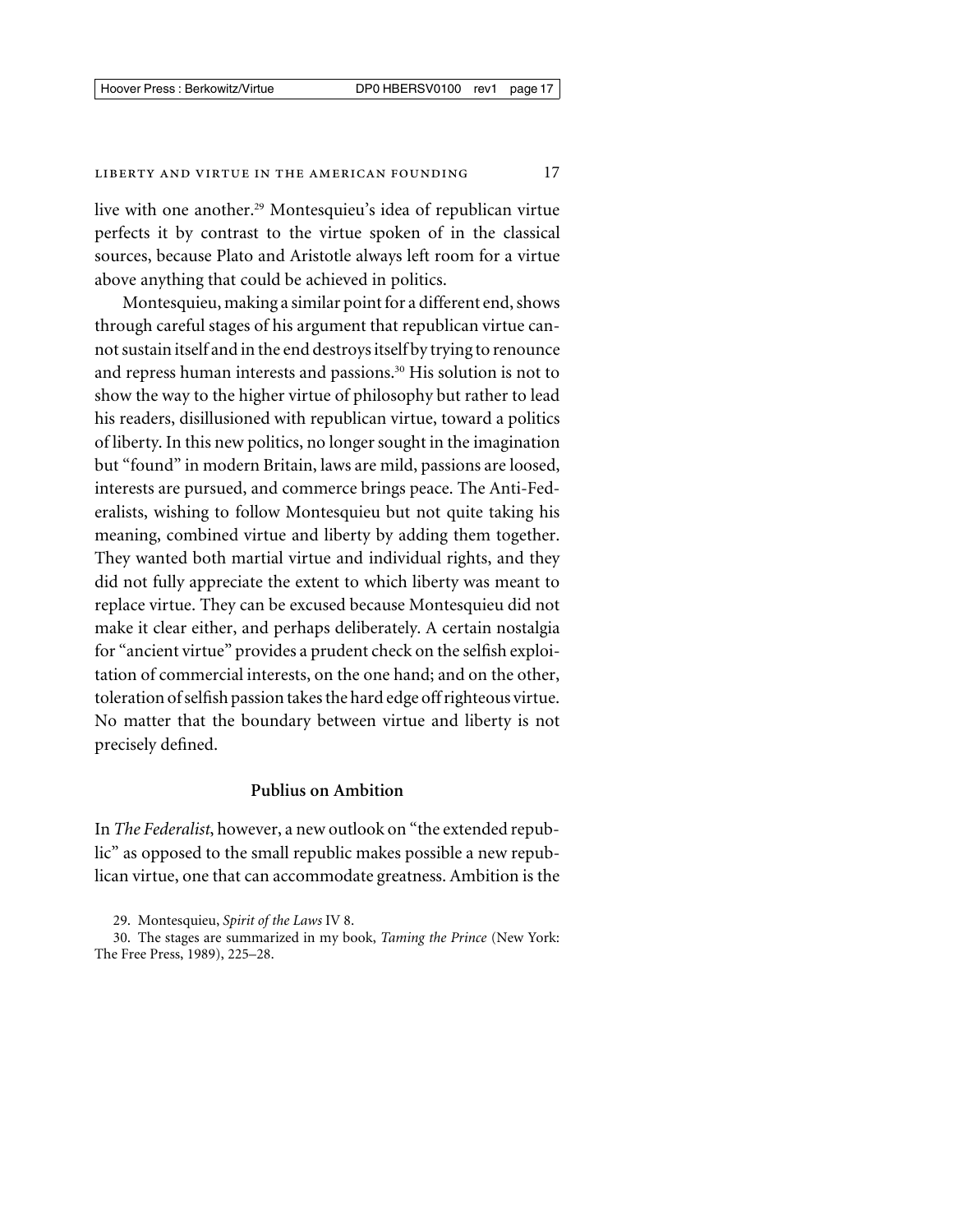#### LIBERTY AND VIRTUE IN THE AMERICAN FOUNDING 17

live with one another.<sup>29</sup> Montesquieu's idea of republican virtue perfects it by contrast to the virtue spoken of in the classical sources, because Plato and Aristotle always left room for a virtue above anything that could be achieved in politics.

Montesquieu, making a similar point for a different end, shows through careful stages of his argument that republican virtue cannot sustain itself and in the end destroys itself by trying to renounce and repress human interests and passions.<sup>30</sup> His solution is not to show the way to the higher virtue of philosophy but rather to lead his readers, disillusioned with republican virtue, toward a politics of liberty. In this new politics, no longer sought in the imagination but "found" in modern Britain, laws are mild, passions are loosed, interests are pursued, and commerce brings peace. The Anti-Federalists, wishing to follow Montesquieu but not quite taking his meaning, combined virtue and liberty by adding them together. They wanted both martial virtue and individual rights, and they did not fully appreciate the extent to which liberty was meant to replace virtue. They can be excused because Montesquieu did not make it clear either, and perhaps deliberately. A certain nostalgia for "ancient virtue" provides a prudent check on the selfish exploitation of commercial interests, on the one hand; and on the other, toleration of selfish passion takes the hard edge off righteous virtue. No matter that the boundary between virtue and liberty is not precisely defined.

# **Publius on Ambition**

In *The Federalist*, however, a new outlook on "the extended republic" as opposed to the small republic makes possible a new republican virtue, one that can accommodate greatness. Ambition is the

29. Montesquieu, *Spirit of the Laws* IV 8.

<sup>30.</sup> The stages are summarized in my book, *Taming the Prince* (New York: The Free Press, 1989), 225–28.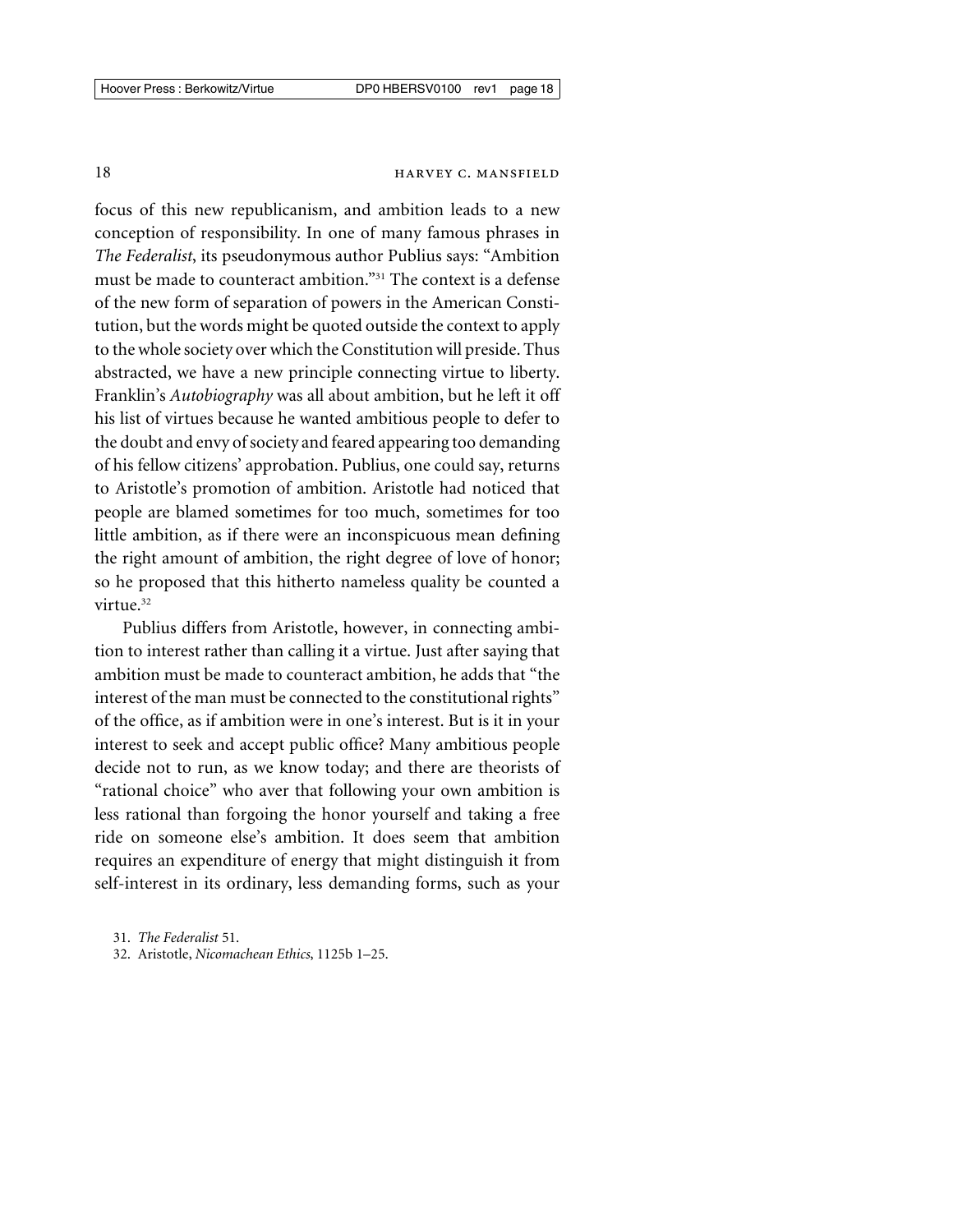focus of this new republicanism, and ambition leads to a new conception of responsibility. In one of many famous phrases in *The Federalist*, its pseudonymous author Publius says: "Ambition must be made to counteract ambition."31 The context is a defense of the new form of separation of powers in the American Constitution, but the words might be quoted outside the context to apply to the whole society over which the Constitution will preside. Thus abstracted, we have a new principle connecting virtue to liberty. Franklin's *Autobiography* was all about ambition, but he left it off his list of virtues because he wanted ambitious people to defer to the doubt and envy of society and feared appearing too demanding of his fellow citizens' approbation. Publius, one could say, returns to Aristotle's promotion of ambition. Aristotle had noticed that people are blamed sometimes for too much, sometimes for too little ambition, as if there were an inconspicuous mean defining the right amount of ambition, the right degree of love of honor; so he proposed that this hitherto nameless quality be counted a virtue.<sup>32</sup>

Publius differs from Aristotle, however, in connecting ambition to interest rather than calling it a virtue. Just after saying that ambition must be made to counteract ambition, he adds that "the interest of the man must be connected to the constitutional rights" of the office, as if ambition were in one's interest. But is it in your interest to seek and accept public office? Many ambitious people decide not to run, as we know today; and there are theorists of "rational choice" who aver that following your own ambition is less rational than forgoing the honor yourself and taking a free ride on someone else's ambition. It does seem that ambition requires an expenditure of energy that might distinguish it from self-interest in its ordinary, less demanding forms, such as your

32. Aristotle, *Nicomachean Ethics*, 1125b 1–25.

<sup>31.</sup> *The Federalist* 51.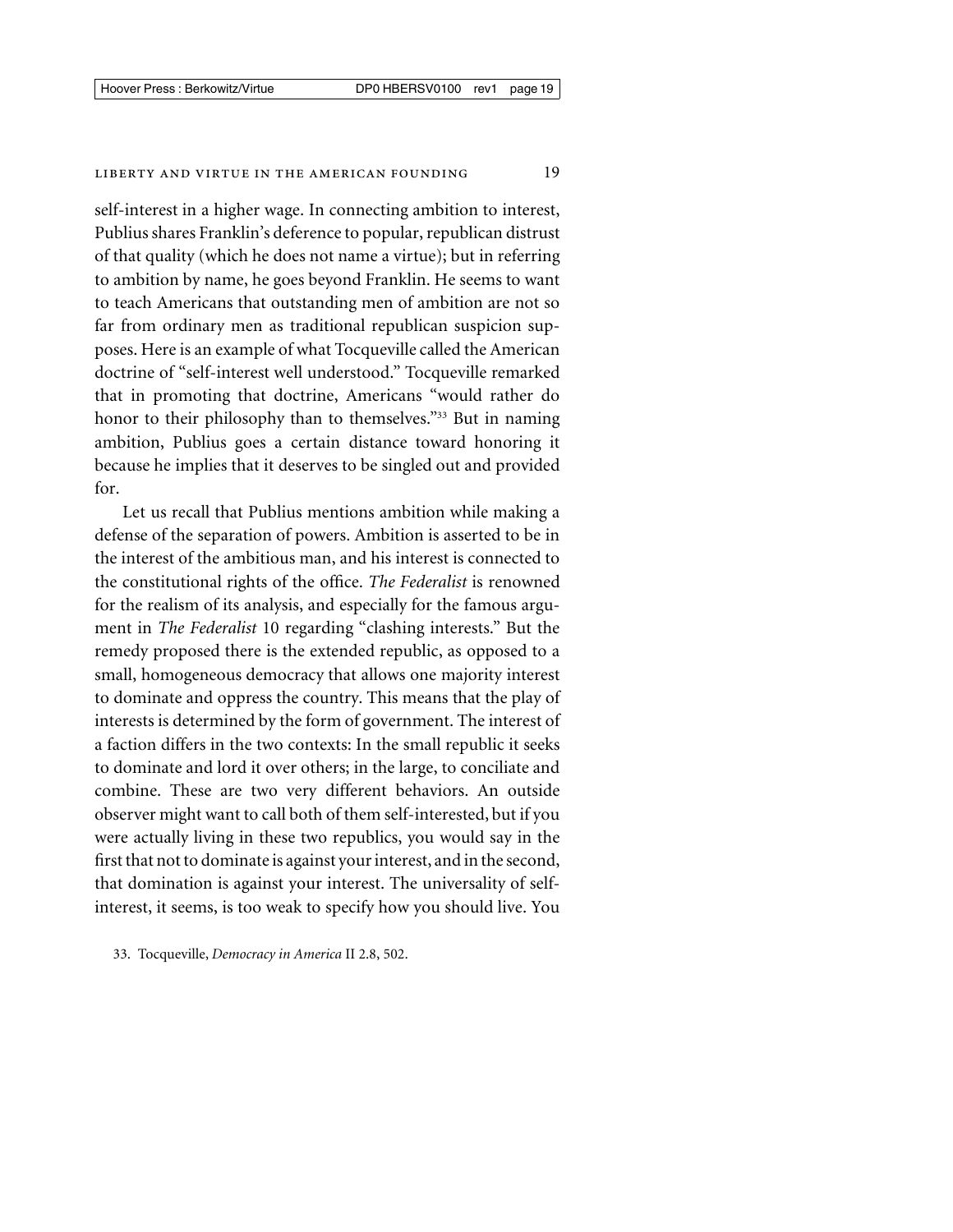self-interest in a higher wage. In connecting ambition to interest, Publius shares Franklin's deference to popular, republican distrust of that quality (which he does not name a virtue); but in referring to ambition by name, he goes beyond Franklin. He seems to want to teach Americans that outstanding men of ambition are not so far from ordinary men as traditional republican suspicion supposes. Here is an example of what Tocqueville called the American doctrine of "self-interest well understood." Tocqueville remarked that in promoting that doctrine, Americans "would rather do honor to their philosophy than to themselves."<sup>33</sup> But in naming ambition, Publius goes a certain distance toward honoring it because he implies that it deserves to be singled out and provided for.

Let us recall that Publius mentions ambition while making a defense of the separation of powers. Ambition is asserted to be in the interest of the ambitious man, and his interest is connected to the constitutional rights of the office. *The Federalist* is renowned for the realism of its analysis, and especially for the famous argument in *The Federalist* 10 regarding "clashing interests." But the remedy proposed there is the extended republic, as opposed to a small, homogeneous democracy that allows one majority interest to dominate and oppress the country. This means that the play of interests is determined by the form of government. The interest of a faction differs in the two contexts: In the small republic it seeks to dominate and lord it over others; in the large, to conciliate and combine. These are two very different behaviors. An outside observer might want to call both of them self-interested, but if you were actually living in these two republics, you would say in the first that not to dominate is against your interest, and in the second, that domination is against your interest. The universality of selfinterest, it seems, is too weak to specify how you should live. You

33. Tocqueville, *Democracy in America* II 2.8, 502.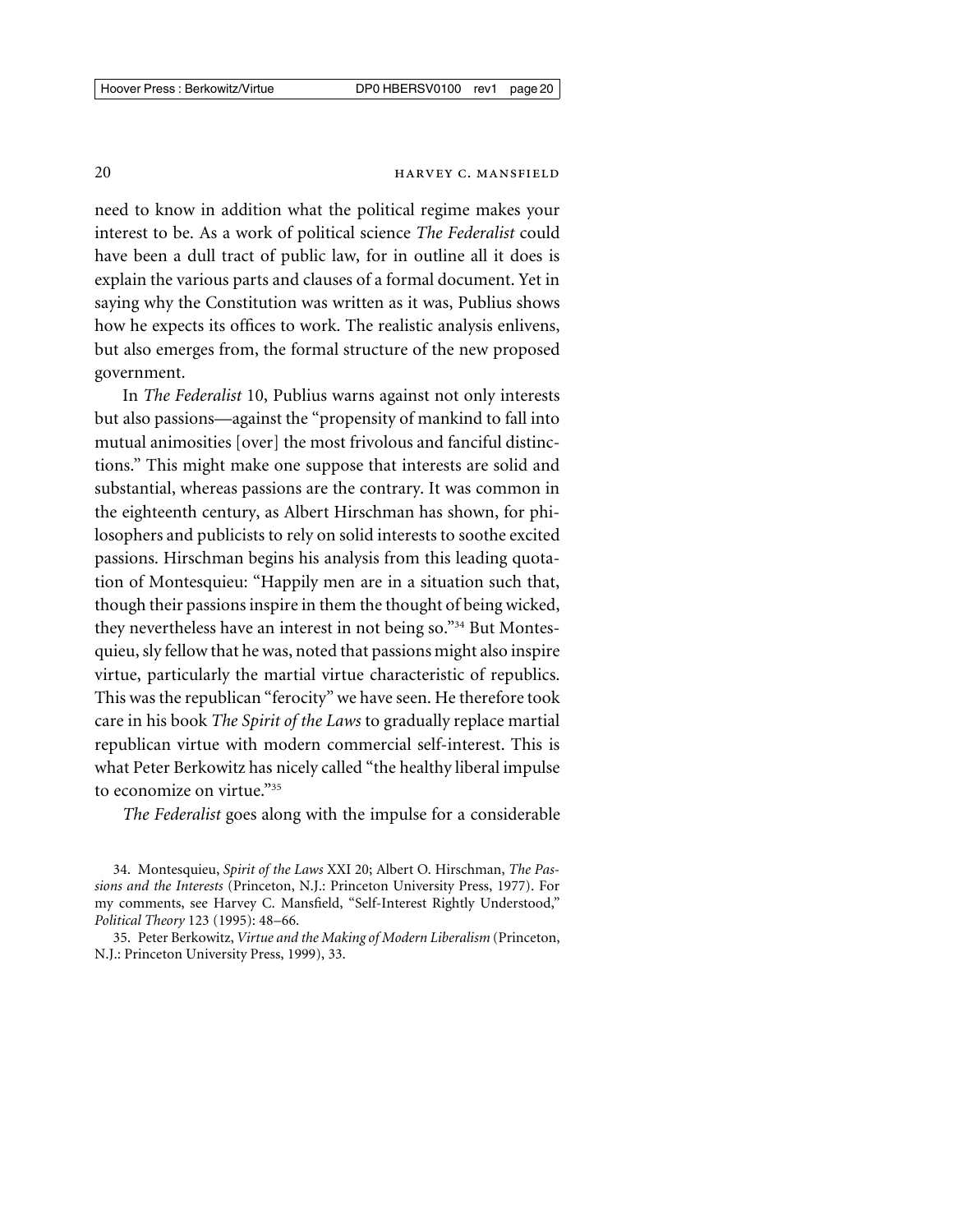need to know in addition what the political regime makes your interest to be. As a work of political science *The Federalist* could have been a dull tract of public law, for in outline all it does is explain the various parts and clauses of a formal document. Yet in saying why the Constitution was written as it was, Publius shows how he expects its offices to work. The realistic analysis enlivens, but also emerges from, the formal structure of the new proposed government.

In *The Federalist* 10, Publius warns against not only interests but also passions—against the "propensity of mankind to fall into mutual animosities [over] the most frivolous and fanciful distinctions." This might make one suppose that interests are solid and substantial, whereas passions are the contrary. It was common in the eighteenth century, as Albert Hirschman has shown, for philosophers and publicists to rely on solid interests to soothe excited passions. Hirschman begins his analysis from this leading quotation of Montesquieu: "Happily men are in a situation such that, though their passions inspire in them the thought of being wicked, they nevertheless have an interest in not being so."34 But Montesquieu, sly fellow that he was, noted that passions might also inspire virtue, particularly the martial virtue characteristic of republics. This was the republican "ferocity" we have seen. He therefore took care in his book *The Spirit of the Laws* to gradually replace martial republican virtue with modern commercial self-interest. This is what Peter Berkowitz has nicely called "the healthy liberal impulse to economize on virtue."35

*The Federalist* goes along with the impulse for a considerable

<sup>34.</sup> Montesquieu, *Spirit of the Laws* XXI 20; Albert O. Hirschman, *The Passions and the Interests* (Princeton, N.J.: Princeton University Press, 1977). For my comments, see Harvey C. Mansfield, "Self-Interest Rightly Understood," *Political Theory* 123 (1995): 48–66.

<sup>35.</sup> Peter Berkowitz, *Virtue and the Making of Modern Liberalism* (Princeton, N.J.: Princeton University Press, 1999), 33.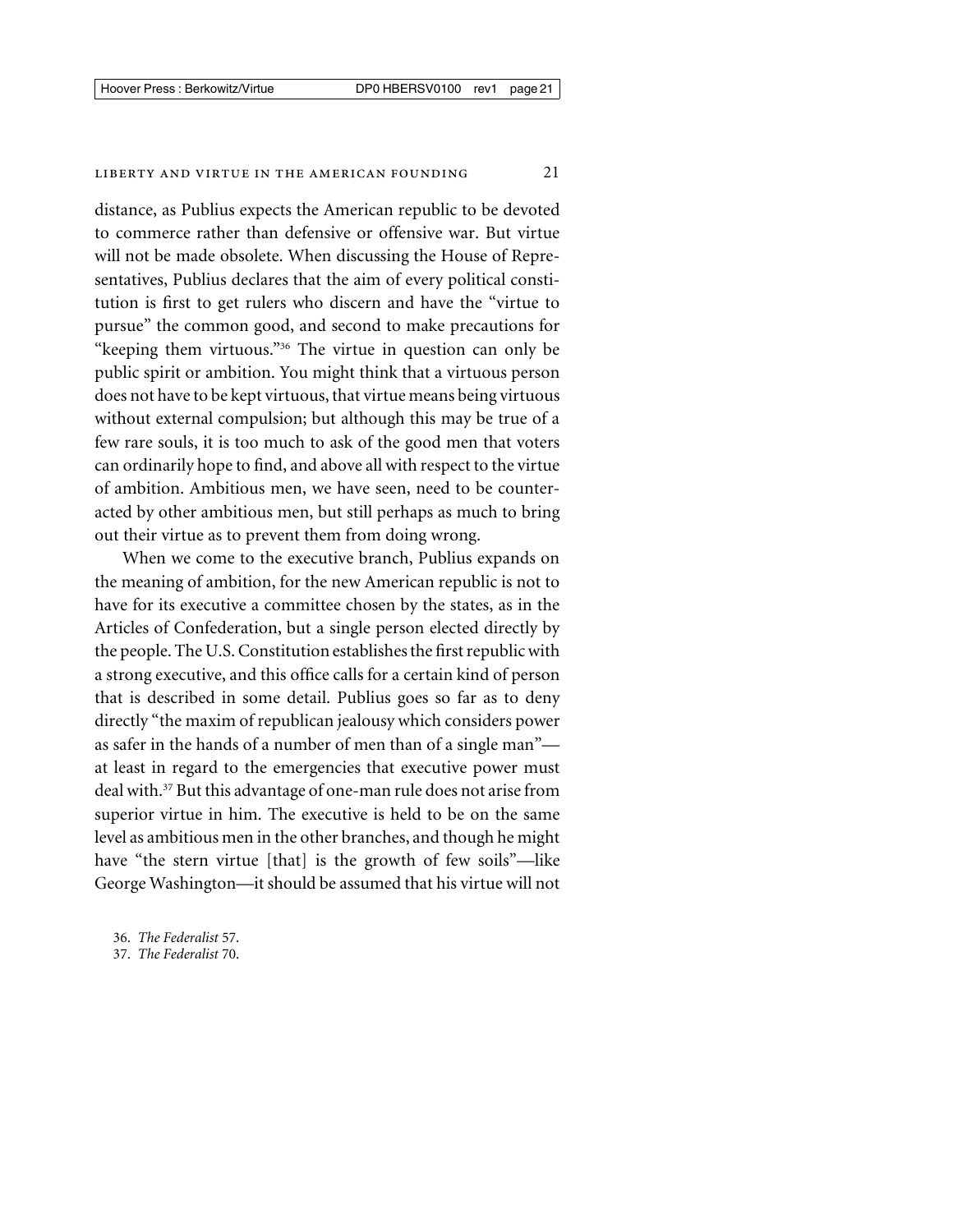distance, as Publius expects the American republic to be devoted to commerce rather than defensive or offensive war. But virtue will not be made obsolete. When discussing the House of Representatives, Publius declares that the aim of every political constitution is first to get rulers who discern and have the "virtue to pursue" the common good, and second to make precautions for "keeping them virtuous."<sup>36</sup> The virtue in question can only be public spirit or ambition. You might think that a virtuous person does not have to be kept virtuous, that virtue means being virtuous without external compulsion; but although this may be true of a few rare souls, it is too much to ask of the good men that voters can ordinarily hope to find, and above all with respect to the virtue of ambition. Ambitious men, we have seen, need to be counteracted by other ambitious men, but still perhaps as much to bring out their virtue as to prevent them from doing wrong.

When we come to the executive branch, Publius expands on the meaning of ambition, for the new American republic is not to have for its executive a committee chosen by the states, as in the Articles of Confederation, but a single person elected directly by the people. The U.S. Constitution establishes the first republic with a strong executive, and this office calls for a certain kind of person that is described in some detail. Publius goes so far as to deny directly "the maxim of republican jealousy which considers power as safer in the hands of a number of men than of a single man" at least in regard to the emergencies that executive power must deal with.37 But this advantage of one-man rule does not arise from superior virtue in him. The executive is held to be on the same level as ambitious men in the other branches, and though he might have "the stern virtue [that] is the growth of few soils"—like George Washington—it should be assumed that his virtue will not

36. *The Federalist* 57.

<sup>37.</sup> *The Federalist* 70.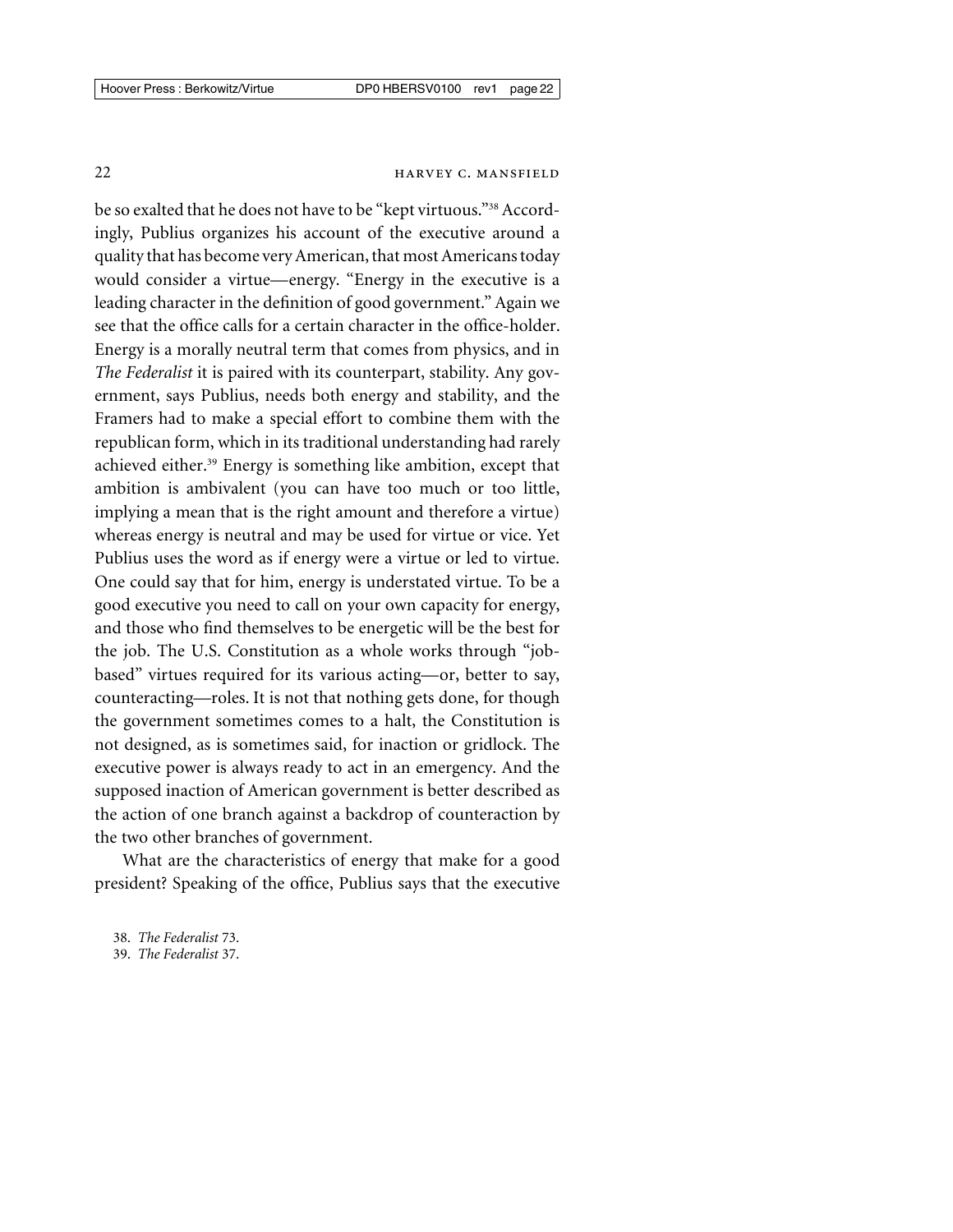be so exalted that he does not have to be "kept virtuous."<sup>38</sup> Accordingly, Publius organizes his account of the executive around a quality that has become very American, that most Americans today would consider a virtue—energy. "Energy in the executive is a leading character in the definition of good government." Again we see that the office calls for a certain character in the office-holder. Energy is a morally neutral term that comes from physics, and in *The Federalist* it is paired with its counterpart, stability. Any government, says Publius, needs both energy and stability, and the Framers had to make a special effort to combine them with the republican form, which in its traditional understanding had rarely achieved either.<sup>39</sup> Energy is something like ambition, except that ambition is ambivalent (you can have too much or too little, implying a mean that is the right amount and therefore a virtue) whereas energy is neutral and may be used for virtue or vice. Yet Publius uses the word as if energy were a virtue or led to virtue. One could say that for him, energy is understated virtue. To be a good executive you need to call on your own capacity for energy, and those who find themselves to be energetic will be the best for the job. The U.S. Constitution as a whole works through "jobbased" virtues required for its various acting—or, better to say, counteracting—roles. It is not that nothing gets done, for though the government sometimes comes to a halt, the Constitution is not designed, as is sometimes said, for inaction or gridlock. The executive power is always ready to act in an emergency. And the supposed inaction of American government is better described as the action of one branch against a backdrop of counteraction by the two other branches of government.

What are the characteristics of energy that make for a good president? Speaking of the office, Publius says that the executive

<sup>38.</sup> *The Federalist* 73.

<sup>39.</sup> *The Federalist* 37.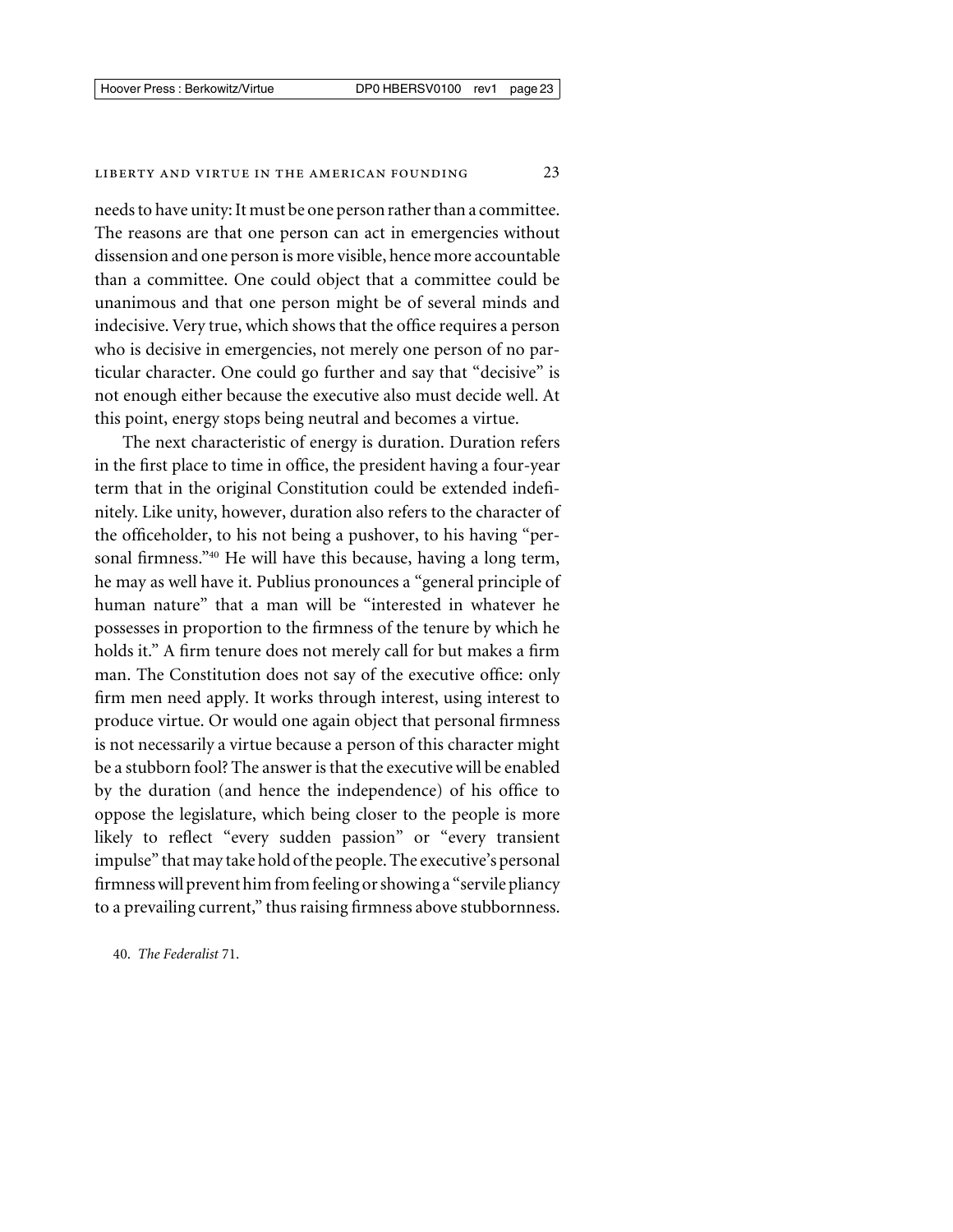needs to have unity: It must be one person rather than a committee. The reasons are that one person can act in emergencies without dissension and one person is more visible, hence more accountable than a committee. One could object that a committee could be unanimous and that one person might be of several minds and indecisive. Very true, which shows that the office requires a person who is decisive in emergencies, not merely one person of no particular character. One could go further and say that "decisive" is not enough either because the executive also must decide well. At this point, energy stops being neutral and becomes a virtue.

The next characteristic of energy is duration. Duration refers in the first place to time in office, the president having a four-year term that in the original Constitution could be extended indefinitely. Like unity, however, duration also refers to the character of the officeholder, to his not being a pushover, to his having "personal firmness."<sup>40</sup> He will have this because, having a long term, he may as well have it. Publius pronounces a "general principle of human nature" that a man will be "interested in whatever he possesses in proportion to the firmness of the tenure by which he holds it." A firm tenure does not merely call for but makes a firm man. The Constitution does not say of the executive office: only firm men need apply. It works through interest, using interest to produce virtue. Or would one again object that personal firmness is not necessarily a virtue because a person of this character might be a stubborn fool? The answer is that the executive will be enabled by the duration (and hence the independence) of his office to oppose the legislature, which being closer to the people is more likely to reflect "every sudden passion" or "every transient impulse" that may take hold of the people. The executive's personal firmness will prevent him from feeling or showing a "servile pliancy" to a prevailing current," thus raising firmness above stubbornness.

40. *The Federalist* 71.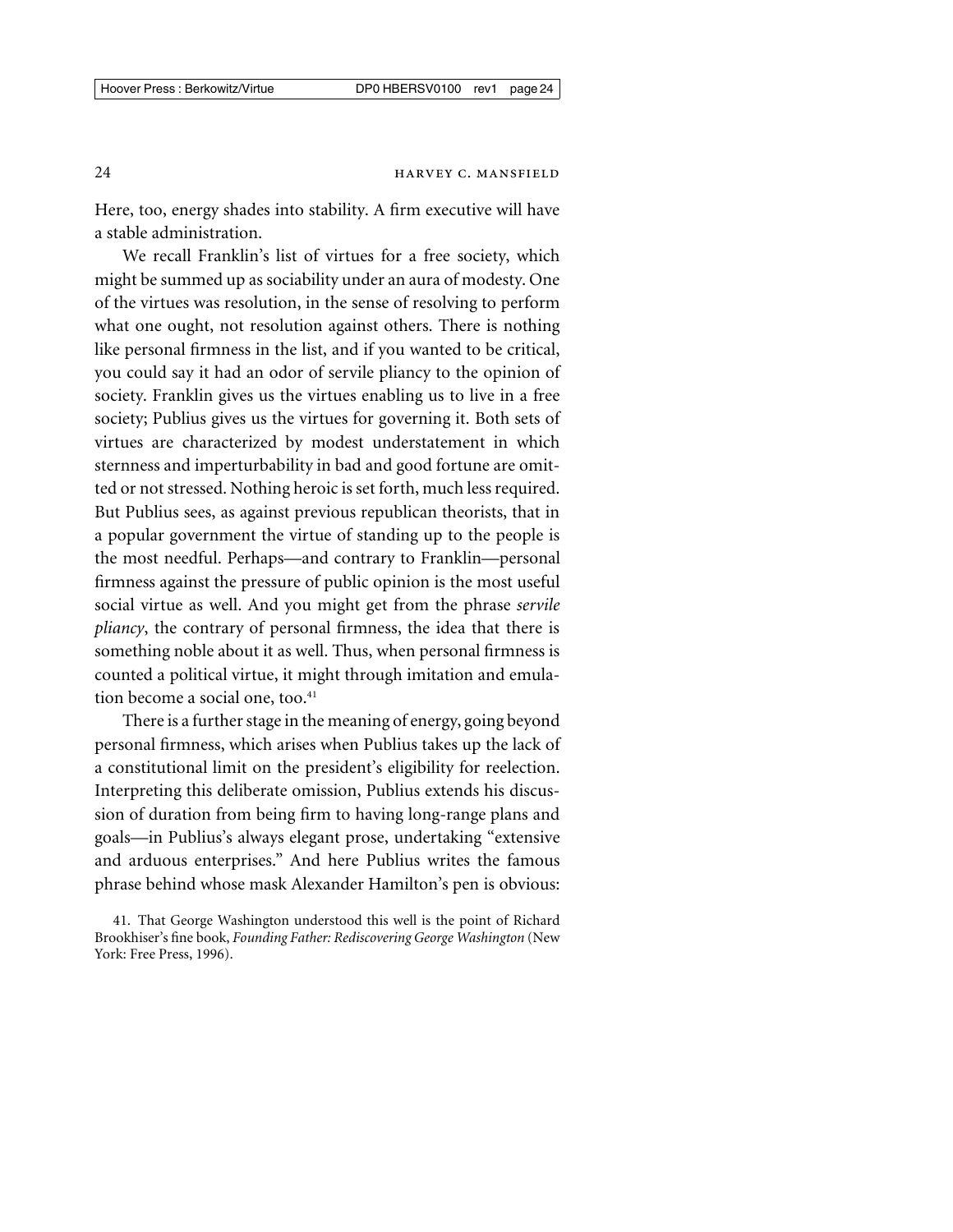Here, too, energy shades into stability. A firm executive will have a stable administration.

We recall Franklin's list of virtues for a free society, which might be summed up as sociability under an aura of modesty. One of the virtues was resolution, in the sense of resolving to perform what one ought, not resolution against others. There is nothing like personal firmness in the list, and if you wanted to be critical, you could say it had an odor of servile pliancy to the opinion of society. Franklin gives us the virtues enabling us to live in a free society; Publius gives us the virtues for governing it. Both sets of virtues are characterized by modest understatement in which sternness and imperturbability in bad and good fortune are omitted or not stressed. Nothing heroic is set forth, much less required. But Publius sees, as against previous republican theorists, that in a popular government the virtue of standing up to the people is the most needful. Perhaps—and contrary to Franklin—personal firmness against the pressure of public opinion is the most useful social virtue as well. And you might get from the phrase *servile pliancy*, the contrary of personal firmness, the idea that there is something noble about it as well. Thus, when personal firmness is counted a political virtue, it might through imitation and emulation become a social one, too.<sup>41</sup>

There is a further stage in the meaning of energy, going beyond personal firmness, which arises when Publius takes up the lack of a constitutional limit on the president's eligibility for reelection. Interpreting this deliberate omission, Publius extends his discussion of duration from being firm to having long-range plans and goals—in Publius's always elegant prose, undertaking "extensive and arduous enterprises." And here Publius writes the famous phrase behind whose mask Alexander Hamilton's pen is obvious:

<sup>41.</sup> That George Washington understood this well is the point of Richard Brookhiser's fine book, *Founding Father: Rediscovering George Washington* (New York: Free Press, 1996).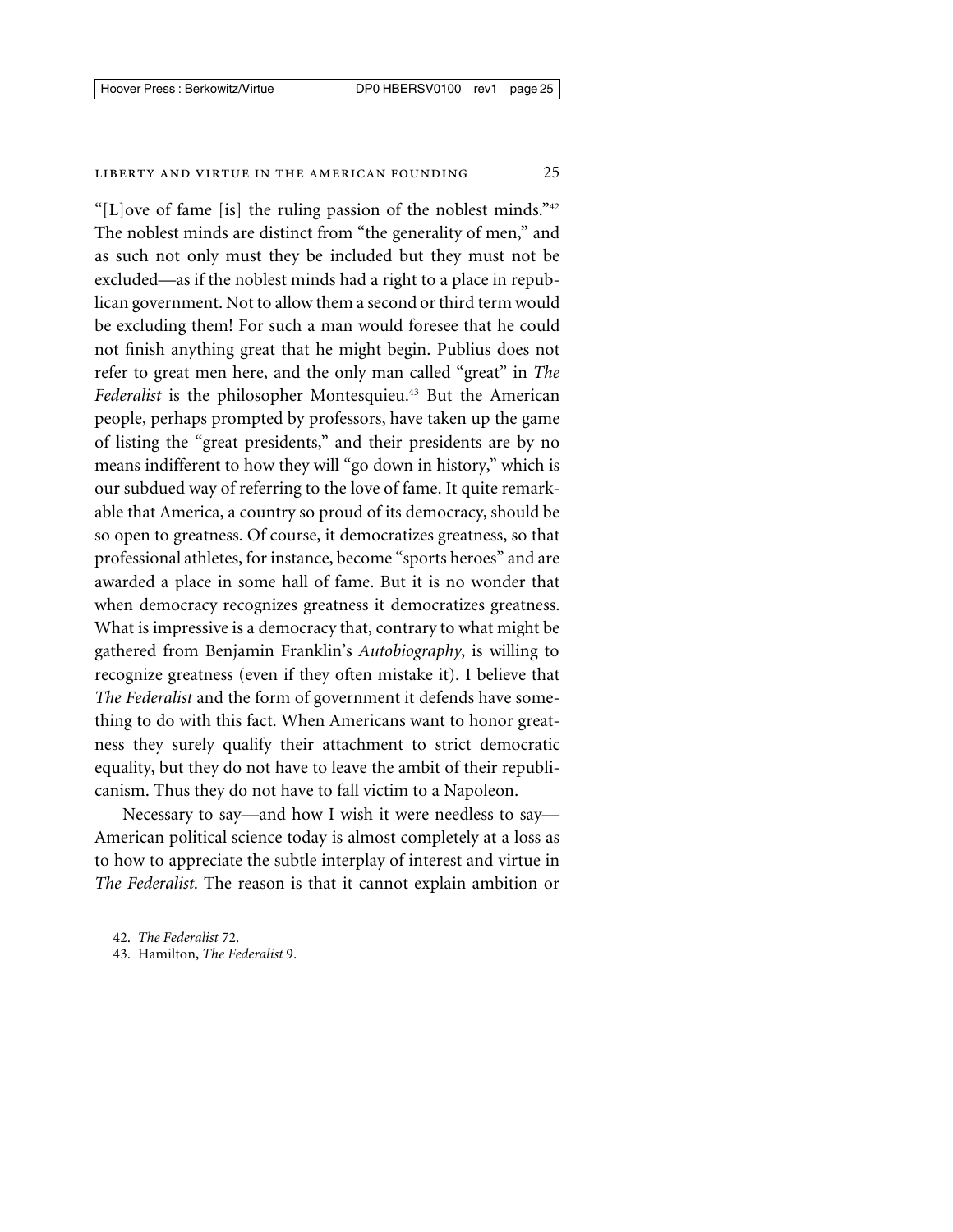"[L]ove of fame [is] the ruling passion of the noblest minds." $42$ The noblest minds are distinct from "the generality of men," and as such not only must they be included but they must not be excluded—as if the noblest minds had a right to a place in republican government. Not to allow them a second or third term would be excluding them! For such a man would foresee that he could not finish anything great that he might begin. Publius does not refer to great men here, and the only man called "great" in *The Federalist* is the philosopher Montesquieu.43 But the American people, perhaps prompted by professors, have taken up the game of listing the "great presidents," and their presidents are by no means indifferent to how they will "go down in history," which is our subdued way of referring to the love of fame. It quite remarkable that America, a country so proud of its democracy, should be so open to greatness. Of course, it democratizes greatness, so that professional athletes, for instance, become "sports heroes" and are awarded a place in some hall of fame. But it is no wonder that when democracy recognizes greatness it democratizes greatness. What is impressive is a democracy that, contrary to what might be gathered from Benjamin Franklin's *Autobiography*, is willing to recognize greatness (even if they often mistake it). I believe that *The Federalist* and the form of government it defends have something to do with this fact. When Americans want to honor greatness they surely qualify their attachment to strict democratic equality, but they do not have to leave the ambit of their republicanism. Thus they do not have to fall victim to a Napoleon.

Necessary to say—and how I wish it were needless to say— American political science today is almost completely at a loss as to how to appreciate the subtle interplay of interest and virtue in *The Federalist*. The reason is that it cannot explain ambition or

43. Hamilton, *The Federalist* 9.

<sup>42.</sup> *The Federalist* 72.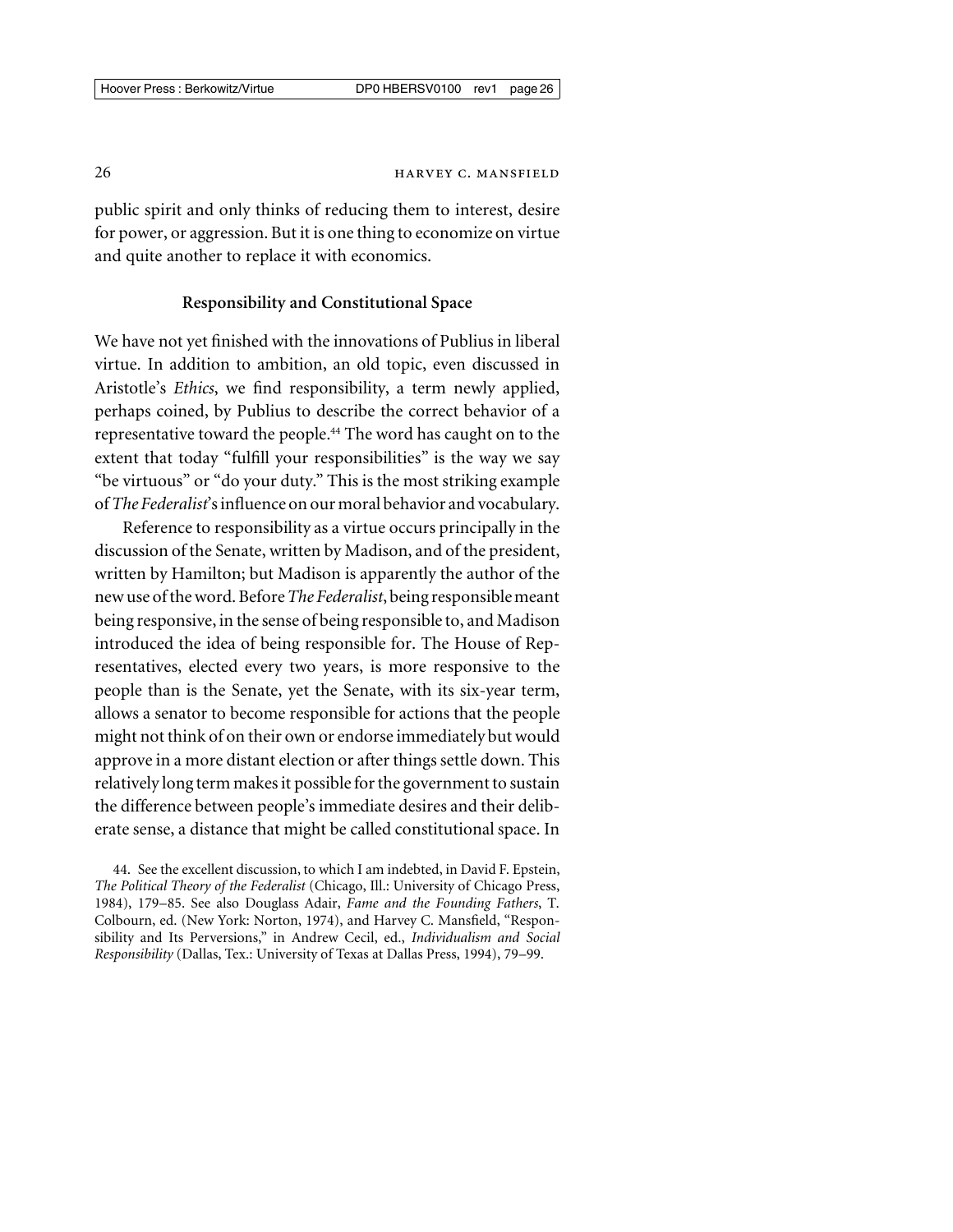public spirit and only thinks of reducing them to interest, desire for power, or aggression. But it is one thing to economize on virtue and quite another to replace it with economics.

# **Responsibility and Constitutional Space**

We have not yet finished with the innovations of Publius in liberal virtue. In addition to ambition, an old topic, even discussed in Aristotle's *Ethics*, we find responsibility, a term newly applied, perhaps coined, by Publius to describe the correct behavior of a representative toward the people.<sup>44</sup> The word has caught on to the extent that today "fulfill your responsibilities" is the way we say "be virtuous" or "do your duty." This is the most striking example of*The Federalist*'s influence on our moral behavior and vocabulary.

Reference to responsibility as a virtue occurs principally in the discussion of the Senate, written by Madison, and of the president, written by Hamilton; but Madison is apparently the author of the new use of the word. Before*The Federalist*, being responsiblemeant being responsive, in the sense of being responsible to, and Madison introduced the idea of being responsible for. The House of Representatives, elected every two years, is more responsive to the people than is the Senate, yet the Senate, with its six-year term, allows a senator to become responsible for actions that the people might not think of on their own or endorse immediately but would approve in a more distant election or after things settle down. This relatively long term makes it possible for the government to sustain the difference between people's immediate desires and their deliberate sense, a distance that might be called constitutional space. In

44. See the excellent discussion, to which I am indebted, in David F. Epstein, *The Political Theory of the Federalist* (Chicago, Ill.: University of Chicago Press, 1984), 179–85. See also Douglass Adair, *Fame and the Founding Fathers*, T. Colbourn, ed. (New York: Norton, 1974), and Harvey C. Mansfield, "Responsibility and Its Perversions," in Andrew Cecil, ed., *Individualism and Social Responsibility* (Dallas, Tex.: University of Texas at Dallas Press, 1994), 79–99.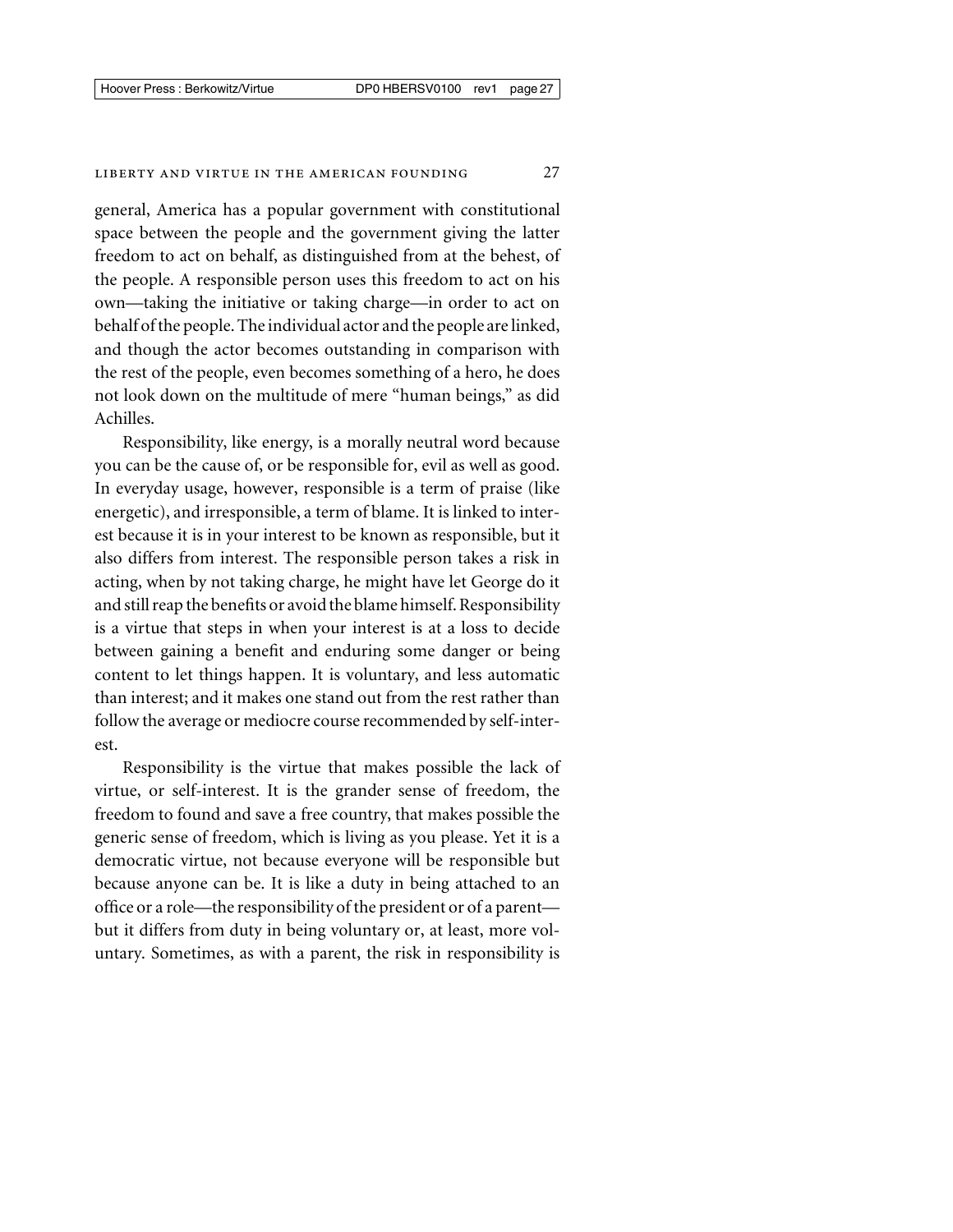general, America has a popular government with constitutional space between the people and the government giving the latter freedom to act on behalf, as distinguished from at the behest, of the people. A responsible person uses this freedom to act on his own—taking the initiative or taking charge—in order to act on behalf of the people. The individual actor and the people are linked, and though the actor becomes outstanding in comparison with the rest of the people, even becomes something of a hero, he does not look down on the multitude of mere "human beings," as did Achilles.

Responsibility, like energy, is a morally neutral word because you can be the cause of, or be responsible for, evil as well as good. In everyday usage, however, responsible is a term of praise (like energetic), and irresponsible, a term of blame. It is linked to interest because it is in your interest to be known as responsible, but it also differs from interest. The responsible person takes a risk in acting, when by not taking charge, he might have let George do it and still reap the benefits or avoid the blame himself. Responsibility is a virtue that steps in when your interest is at a loss to decide between gaining a benefit and enduring some danger or being content to let things happen. It is voluntary, and less automatic than interest; and it makes one stand out from the rest rather than follow the average or mediocre course recommended by self-interest.

Responsibility is the virtue that makes possible the lack of virtue, or self-interest. It is the grander sense of freedom, the freedom to found and save a free country, that makes possible the generic sense of freedom, which is living as you please. Yet it is a democratic virtue, not because everyone will be responsible but because anyone can be. It is like a duty in being attached to an office or a role—the responsibility of the president or of a parent but it differs from duty in being voluntary or, at least, more voluntary. Sometimes, as with a parent, the risk in responsibility is